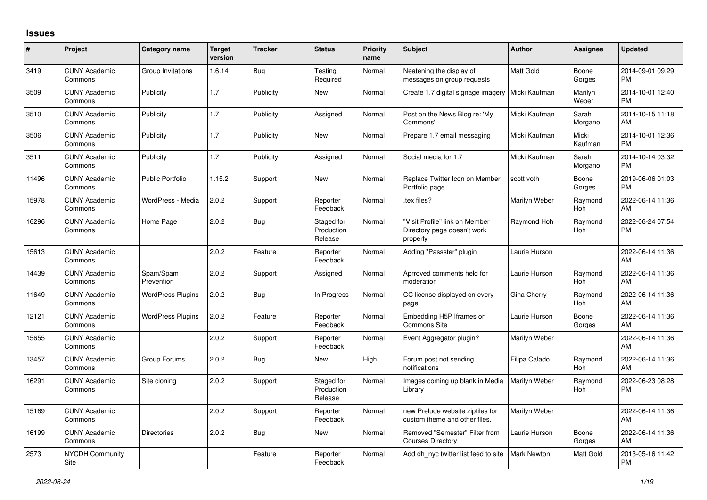## **Issues**

| #     | Project                         | <b>Category name</b>     | <b>Target</b><br>version | <b>Tracker</b> | <b>Status</b>                       | <b>Priority</b><br>name | <b>Subject</b>                                                            | <b>Author</b>      | <b>Assignee</b>       | <b>Updated</b>                |
|-------|---------------------------------|--------------------------|--------------------------|----------------|-------------------------------------|-------------------------|---------------------------------------------------------------------------|--------------------|-----------------------|-------------------------------|
| 3419  | <b>CUNY Academic</b><br>Commons | Group Invitations        | 1.6.14                   | Bug            | Testing<br>Required                 | Normal                  | Neatening the display of<br>messages on group requests                    | <b>Matt Gold</b>   | Boone<br>Gorges       | 2014-09-01 09:29<br><b>PM</b> |
| 3509  | <b>CUNY Academic</b><br>Commons | Publicity                | 1.7                      | Publicity      | New                                 | Normal                  | Create 1.7 digital signage imagery                                        | Micki Kaufman      | Marilyn<br>Weber      | 2014-10-01 12:40<br><b>PM</b> |
| 3510  | <b>CUNY Academic</b><br>Commons | Publicity                | 1.7                      | Publicity      | Assigned                            | Normal                  | Post on the News Blog re: 'My<br>Commons'                                 | Micki Kaufman      | Sarah<br>Morgano      | 2014-10-15 11:18<br>AM        |
| 3506  | <b>CUNY Academic</b><br>Commons | Publicity                | 1.7                      | Publicity      | New                                 | Normal                  | Prepare 1.7 email messaging                                               | Micki Kaufman      | Micki<br>Kaufman      | 2014-10-01 12:36<br><b>PM</b> |
| 3511  | <b>CUNY Academic</b><br>Commons | Publicity                | 1.7                      | Publicity      | Assigned                            | Normal                  | Social media for 1.7                                                      | Micki Kaufman      | Sarah<br>Morgano      | 2014-10-14 03:32<br><b>PM</b> |
| 11496 | <b>CUNY Academic</b><br>Commons | <b>Public Portfolio</b>  | 1.15.2                   | Support        | <b>New</b>                          | Normal                  | Replace Twitter Icon on Member<br>Portfolio page                          | scott voth         | Boone<br>Gorges       | 2019-06-06 01:03<br><b>PM</b> |
| 15978 | <b>CUNY Academic</b><br>Commons | WordPress - Media        | 2.0.2                    | Support        | Reporter<br>Feedback                | Normal                  | tex files?                                                                | Marilyn Weber      | Raymond<br>Hoh        | 2022-06-14 11:36<br>AM        |
| 16296 | <b>CUNY Academic</b><br>Commons | Home Page                | 2.0.2                    | Bug            | Staged for<br>Production<br>Release | Normal                  | "Visit Profile" link on Member<br>Directory page doesn't work<br>properly | Raymond Hoh        | Raymond<br><b>Hoh</b> | 2022-06-24 07:54<br>PM        |
| 15613 | <b>CUNY Academic</b><br>Commons |                          | 2.0.2                    | Feature        | Reporter<br>Feedback                | Normal                  | Adding "Passster" plugin                                                  | Laurie Hurson      |                       | 2022-06-14 11:36<br>AM        |
| 14439 | <b>CUNY Academic</b><br>Commons | Spam/Spam<br>Prevention  | 2.0.2                    | Support        | Assigned                            | Normal                  | Aprroved comments held for<br>moderation                                  | Laurie Hurson      | Raymond<br>Hoh        | 2022-06-14 11:36<br>AM        |
| 11649 | <b>CUNY Academic</b><br>Commons | <b>WordPress Plugins</b> | 2.0.2                    | <b>Bug</b>     | In Progress                         | Normal                  | CC license displayed on every<br>page                                     | Gina Cherry        | Raymond<br>Hoh        | 2022-06-14 11:36<br>AM        |
| 12121 | <b>CUNY Academic</b><br>Commons | <b>WordPress Plugins</b> | 2.0.2                    | Feature        | Reporter<br>Feedback                | Normal                  | Embedding H5P Iframes on<br>Commons Site                                  | Laurie Hurson      | Boone<br>Gorges       | 2022-06-14 11:36<br>AM        |
| 15655 | <b>CUNY Academic</b><br>Commons |                          | 2.0.2                    | Support        | Reporter<br>Feedback                | Normal                  | Event Aggregator plugin?                                                  | Marilyn Weber      |                       | 2022-06-14 11:36<br>AM        |
| 13457 | <b>CUNY Academic</b><br>Commons | Group Forums             | 2.0.2                    | Bug            | New                                 | High                    | Forum post not sending<br>notifications                                   | Filipa Calado      | Raymond<br>Hoh        | 2022-06-14 11:36<br>AM        |
| 16291 | <b>CUNY Academic</b><br>Commons | Site cloning             | 2.0.2                    | Support        | Staged for<br>Production<br>Release | Normal                  | Images coming up blank in Media<br>Library                                | Marilyn Weber      | Raymond<br>Hoh        | 2022-06-23 08:28<br><b>PM</b> |
| 15169 | <b>CUNY Academic</b><br>Commons |                          | 2.0.2                    | Support        | Reporter<br>Feedback                | Normal                  | new Prelude website zipfiles for<br>custom theme and other files.         | Marilyn Weber      |                       | 2022-06-14 11:36<br>AM        |
| 16199 | <b>CUNY Academic</b><br>Commons | <b>Directories</b>       | 2.0.2                    | Bug            | <b>New</b>                          | Normal                  | Removed "Semester" Filter from<br><b>Courses Directory</b>                | Laurie Hurson      | Boone<br>Gorges       | 2022-06-14 11:36<br>AM        |
| 2573  | <b>NYCDH Community</b><br>Site  |                          |                          | Feature        | Reporter<br>Feedback                | Normal                  | Add dh nyc twitter list feed to site                                      | <b>Mark Newton</b> | Matt Gold             | 2013-05-16 11:42<br><b>PM</b> |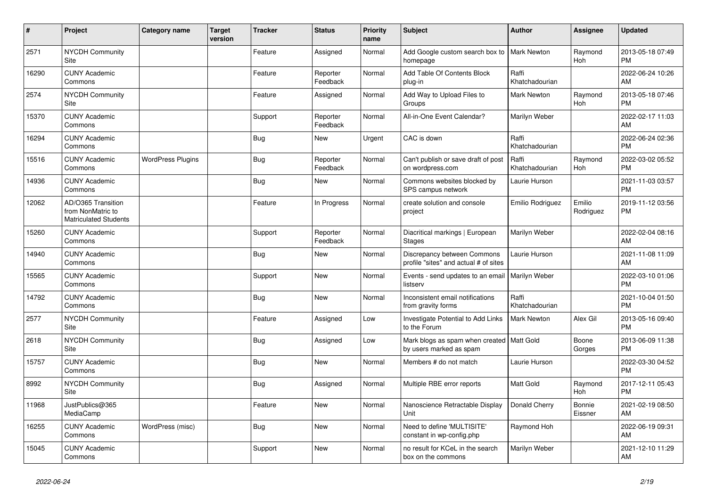| #     | Project                                                                 | Category name            | <b>Target</b><br>version | <b>Tracker</b> | <b>Status</b>        | <b>Priority</b><br>name | <b>Subject</b>                                                         | <b>Author</b>           | <b>Assignee</b>       | <b>Updated</b>                |
|-------|-------------------------------------------------------------------------|--------------------------|--------------------------|----------------|----------------------|-------------------------|------------------------------------------------------------------------|-------------------------|-----------------------|-------------------------------|
| 2571  | <b>NYCDH Community</b><br>Site                                          |                          |                          | Feature        | Assigned             | Normal                  | Add Google custom search box to<br>homepage                            | <b>Mark Newton</b>      | Raymond<br>Hoh        | 2013-05-18 07:49<br><b>PM</b> |
| 16290 | <b>CUNY Academic</b><br>Commons                                         |                          |                          | Feature        | Reporter<br>Feedback | Normal                  | Add Table Of Contents Block<br>plug-in                                 | Raffi<br>Khatchadourian |                       | 2022-06-24 10:26<br>AM        |
| 2574  | <b>NYCDH Community</b><br>Site                                          |                          |                          | Feature        | Assigned             | Normal                  | Add Way to Upload Files to<br>Groups                                   | <b>Mark Newton</b>      | Raymond<br><b>Hoh</b> | 2013-05-18 07:46<br><b>PM</b> |
| 15370 | <b>CUNY Academic</b><br>Commons                                         |                          |                          | Support        | Reporter<br>Feedback | Normal                  | All-in-One Event Calendar?                                             | Marilyn Weber           |                       | 2022-02-17 11:03<br>AM        |
| 16294 | <b>CUNY Academic</b><br>Commons                                         |                          |                          | Bug            | <b>New</b>           | Urgent                  | CAC is down                                                            | Raffi<br>Khatchadourian |                       | 2022-06-24 02:36<br><b>PM</b> |
| 15516 | <b>CUNY Academic</b><br>Commons                                         | <b>WordPress Plugins</b> |                          | <b>Bug</b>     | Reporter<br>Feedback | Normal                  | Can't publish or save draft of post<br>on wordpress.com                | Raffi<br>Khatchadourian | Raymond<br><b>Hoh</b> | 2022-03-02 05:52<br><b>PM</b> |
| 14936 | <b>CUNY Academic</b><br>Commons                                         |                          |                          | <b>Bug</b>     | <b>New</b>           | Normal                  | Commons websites blocked by<br>SPS campus network                      | Laurie Hurson           |                       | 2021-11-03 03:57<br><b>PM</b> |
| 12062 | AD/O365 Transition<br>from NonMatric to<br><b>Matriculated Students</b> |                          |                          | Feature        | In Progress          | Normal                  | create solution and console<br>project                                 | Emilio Rodriguez        | Emilio<br>Rodriguez   | 2019-11-12 03:56<br><b>PM</b> |
| 15260 | <b>CUNY Academic</b><br>Commons                                         |                          |                          | Support        | Reporter<br>Feedback | Normal                  | Diacritical markings   European<br><b>Stages</b>                       | Marilyn Weber           |                       | 2022-02-04 08:16<br>AM        |
| 14940 | <b>CUNY Academic</b><br>Commons                                         |                          |                          | <b>Bug</b>     | <b>New</b>           | Normal                  | Discrepancy between Commons<br>profile "sites" and actual # of sites   | Laurie Hurson           |                       | 2021-11-08 11:09<br>AM        |
| 15565 | <b>CUNY Academic</b><br>Commons                                         |                          |                          | Support        | New                  | Normal                  | Events - send updates to an email   Marilyn Weber<br>listserv          |                         |                       | 2022-03-10 01:06<br><b>PM</b> |
| 14792 | <b>CUNY Academic</b><br>Commons                                         |                          |                          | Bug            | <b>New</b>           | Normal                  | Inconsistent email notifications<br>from gravity forms                 | Raffi<br>Khatchadourian |                       | 2021-10-04 01:50<br><b>PM</b> |
| 2577  | <b>NYCDH Community</b><br>Site                                          |                          |                          | Feature        | Assigned             | Low                     | Investigate Potential to Add Links<br>to the Forum                     | <b>Mark Newton</b>      | Alex Gil              | 2013-05-16 09:40<br><b>PM</b> |
| 2618  | NYCDH Community<br>Site                                                 |                          |                          | Bug            | Assigned             | Low                     | Mark blogs as spam when created   Matt Gold<br>by users marked as spam |                         | Boone<br>Gorges       | 2013-06-09 11:38<br><b>PM</b> |
| 15757 | <b>CUNY Academic</b><br>Commons                                         |                          |                          | <b>Bug</b>     | <b>New</b>           | Normal                  | Members # do not match                                                 | Laurie Hurson           |                       | 2022-03-30 04:52<br><b>PM</b> |
| 8992  | NYCDH Community<br>Site                                                 |                          |                          | <b>Bug</b>     | Assigned             | Normal                  | Multiple RBE error reports                                             | Matt Gold               | Raymond<br><b>Hoh</b> | 2017-12-11 05:43<br><b>PM</b> |
| 11968 | JustPublics@365<br>MediaCamp                                            |                          |                          | Feature        | <b>New</b>           | Normal                  | Nanoscience Retractable Display<br>Unit                                | Donald Cherry           | Bonnie<br>Eissner     | 2021-02-19 08:50<br>AM        |
| 16255 | <b>CUNY Academic</b><br>Commons                                         | WordPress (misc)         |                          | Bug            | <b>New</b>           | Normal                  | Need to define 'MULTISITE'<br>constant in wp-config.php                | Raymond Hoh             |                       | 2022-06-19 09:31<br>AM        |
| 15045 | <b>CUNY Academic</b><br>Commons                                         |                          |                          | Support        | <b>New</b>           | Normal                  | no result for KCeL in the search<br>box on the commons                 | Marilyn Weber           |                       | 2021-12-10 11:29<br>AM        |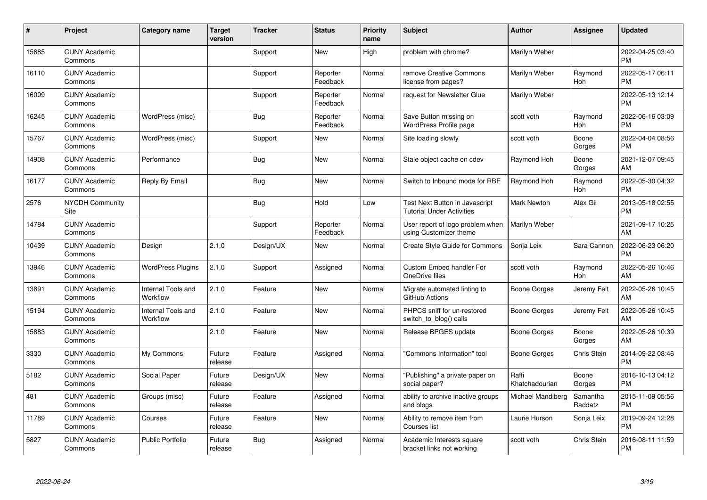| #     | Project                         | <b>Category name</b>           | <b>Target</b><br>version | <b>Tracker</b> | <b>Status</b>        | <b>Priority</b><br>name | <b>Subject</b>                                                     | <b>Author</b>           | <b>Assignee</b>       | <b>Updated</b>                |
|-------|---------------------------------|--------------------------------|--------------------------|----------------|----------------------|-------------------------|--------------------------------------------------------------------|-------------------------|-----------------------|-------------------------------|
| 15685 | <b>CUNY Academic</b><br>Commons |                                |                          | Support        | <b>New</b>           | High                    | problem with chrome?                                               | Marilyn Weber           |                       | 2022-04-25 03:40<br><b>PM</b> |
| 16110 | <b>CUNY Academic</b><br>Commons |                                |                          | Support        | Reporter<br>Feedback | Normal                  | remove Creative Commons<br>license from pages?                     | Marilyn Weber           | Raymond<br><b>Hoh</b> | 2022-05-17 06:11<br><b>PM</b> |
| 16099 | <b>CUNY Academic</b><br>Commons |                                |                          | Support        | Reporter<br>Feedback | Normal                  | request for Newsletter Glue                                        | Marilyn Weber           |                       | 2022-05-13 12:14<br><b>PM</b> |
| 16245 | <b>CUNY Academic</b><br>Commons | WordPress (misc)               |                          | <b>Bug</b>     | Reporter<br>Feedback | Normal                  | Save Button missing on<br><b>WordPress Profile page</b>            | scott voth              | Raymond<br><b>Hoh</b> | 2022-06-16 03:09<br><b>PM</b> |
| 15767 | <b>CUNY Academic</b><br>Commons | WordPress (misc)               |                          | Support        | <b>New</b>           | Normal                  | Site loading slowly                                                | scott voth              | Boone<br>Gorges       | 2022-04-04 08:56<br><b>PM</b> |
| 14908 | <b>CUNY Academic</b><br>Commons | Performance                    |                          | <b>Bug</b>     | <b>New</b>           | Normal                  | Stale object cache on cdev                                         | Raymond Hoh             | Boone<br>Gorges       | 2021-12-07 09:45<br>AM        |
| 16177 | <b>CUNY Academic</b><br>Commons | Reply By Email                 |                          | Bug            | New                  | Normal                  | Switch to Inbound mode for RBE                                     | Raymond Hoh             | Raymond<br>Hoh        | 2022-05-30 04:32<br><b>PM</b> |
| 2576  | <b>NYCDH Community</b><br>Site  |                                |                          | Bug            | Hold                 | Low                     | Test Next Button in Javascript<br><b>Tutorial Under Activities</b> | <b>Mark Newton</b>      | Alex Gil              | 2013-05-18 02:55<br><b>PM</b> |
| 14784 | <b>CUNY Academic</b><br>Commons |                                |                          | Support        | Reporter<br>Feedback | Normal                  | User report of logo problem when<br>using Customizer theme         | Marilyn Weber           |                       | 2021-09-17 10:25<br>AM        |
| 10439 | <b>CUNY Academic</b><br>Commons | Design                         | 2.1.0                    | Design/UX      | <b>New</b>           | Normal                  | <b>Create Style Guide for Commons</b>                              | Sonja Leix              | Sara Cannon           | 2022-06-23 06:20<br>PM        |
| 13946 | <b>CUNY Academic</b><br>Commons | <b>WordPress Plugins</b>       | 2.1.0                    | Support        | Assigned             | Normal                  | <b>Custom Embed handler For</b><br>OneDrive files                  | scott voth              | Raymond<br>Hoh        | 2022-05-26 10:46<br>AM        |
| 13891 | <b>CUNY Academic</b><br>Commons | Internal Tools and<br>Workflow | 2.1.0                    | Feature        | New                  | Normal                  | Migrate automated linting to<br>GitHub Actions                     | Boone Gorges            | Jeremy Felt           | 2022-05-26 10:45<br>AM        |
| 15194 | <b>CUNY Academic</b><br>Commons | Internal Tools and<br>Workflow | 2.1.0                    | Feature        | New                  | Normal                  | PHPCS sniff for un-restored<br>switch_to_blog() calls              | Boone Gorges            | Jeremy Felt           | 2022-05-26 10:45<br>AM        |
| 15883 | <b>CUNY Academic</b><br>Commons |                                | 2.1.0                    | Feature        | <b>New</b>           | Normal                  | Release BPGES update                                               | Boone Gorges            | Boone<br>Gorges       | 2022-05-26 10:39<br>AM        |
| 3330  | <b>CUNY Academic</b><br>Commons | My Commons                     | Future<br>release        | Feature        | Assigned             | Normal                  | 'Commons Information" tool                                         | Boone Gorges            | Chris Stein           | 2014-09-22 08:46<br><b>PM</b> |
| 5182  | <b>CUNY Academic</b><br>Commons | Social Paper                   | Future<br>release        | Design/UX      | <b>New</b>           | Normal                  | "Publishing" a private paper on<br>social paper?                   | Raffi<br>Khatchadourian | Boone<br>Gorges       | 2016-10-13 04:12<br><b>PM</b> |
| 481   | <b>CUNY Academic</b><br>Commons | Groups (misc)                  | Future<br>release        | Feature        | Assigned             | Normal                  | ability to archive inactive groups<br>and blogs                    | Michael Mandiberg       | Samantha<br>Raddatz   | 2015-11-09 05:56<br><b>PM</b> |
| 11789 | <b>CUNY Academic</b><br>Commons | Courses                        | Future<br>release        | Feature        | <b>New</b>           | Normal                  | Ability to remove item from<br>Courses list                        | Laurie Hurson           | Sonja Leix            | 2019-09-24 12:28<br><b>PM</b> |
| 5827  | <b>CUNY Academic</b><br>Commons | <b>Public Portfolio</b>        | Future<br>release        | <b>Bug</b>     | Assigned             | Normal                  | Academic Interests square<br>bracket links not working             | scott voth              | Chris Stein           | 2016-08-11 11:59<br>PM        |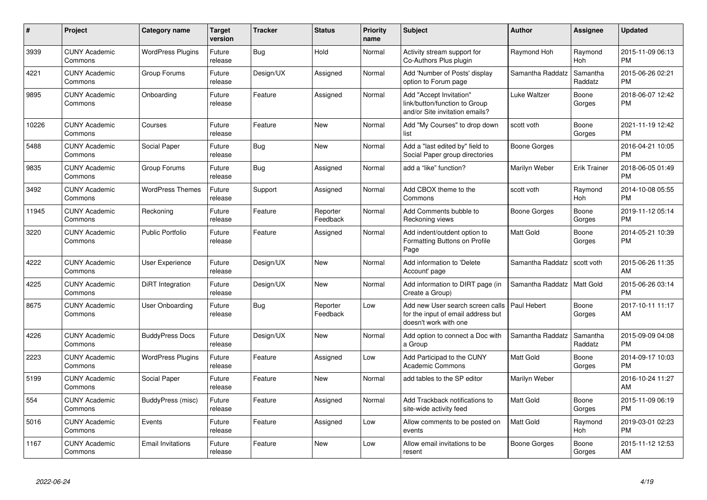| #     | <b>Project</b>                  | <b>Category name</b>     | <b>Target</b><br>version | <b>Tracker</b> | <b>Status</b>        | <b>Priority</b><br>name | <b>Subject</b>                                                                                  | <b>Author</b>    | Assignee              | <b>Updated</b>                |
|-------|---------------------------------|--------------------------|--------------------------|----------------|----------------------|-------------------------|-------------------------------------------------------------------------------------------------|------------------|-----------------------|-------------------------------|
| 3939  | <b>CUNY Academic</b><br>Commons | <b>WordPress Plugins</b> | Future<br>release        | Bug            | Hold                 | Normal                  | Activity stream support for<br>Co-Authors Plus plugin                                           | Raymond Hoh      | Raymond<br>Hoh        | 2015-11-09 06:13<br><b>PM</b> |
| 4221  | <b>CUNY Academic</b><br>Commons | Group Forums             | Future<br>release        | Design/UX      | Assigned             | Normal                  | Add 'Number of Posts' display<br>option to Forum page                                           | Samantha Raddatz | Samantha<br>Raddatz   | 2015-06-26 02:21<br><b>PM</b> |
| 9895  | <b>CUNY Academic</b><br>Commons | Onboarding               | Future<br>release        | Feature        | Assigned             | Normal                  | Add "Accept Invitation"<br>link/button/function to Group<br>and/or Site invitation emails?      | Luke Waltzer     | Boone<br>Gorges       | 2018-06-07 12:42<br><b>PM</b> |
| 10226 | <b>CUNY Academic</b><br>Commons | Courses                  | Future<br>release        | Feature        | <b>New</b>           | Normal                  | Add "My Courses" to drop down<br>list                                                           | scott voth       | Boone<br>Gorges       | 2021-11-19 12:42<br><b>PM</b> |
| 5488  | <b>CUNY Academic</b><br>Commons | Social Paper             | Future<br>release        | Bug            | <b>New</b>           | Normal                  | Add a "last edited by" field to<br>Social Paper group directories                               | Boone Gorges     |                       | 2016-04-21 10:05<br><b>PM</b> |
| 9835  | <b>CUNY Academic</b><br>Commons | Group Forums             | Future<br>release        | <b>Bug</b>     | Assigned             | Normal                  | add a "like" function?                                                                          | Marilyn Weber    | <b>Erik Trainer</b>   | 2018-06-05 01:49<br><b>PM</b> |
| 3492  | <b>CUNY Academic</b><br>Commons | <b>WordPress Themes</b>  | Future<br>release        | Support        | Assigned             | Normal                  | Add CBOX theme to the<br>Commons                                                                | scott voth       | Raymond<br><b>Hoh</b> | 2014-10-08 05:55<br><b>PM</b> |
| 11945 | <b>CUNY Academic</b><br>Commons | Reckoning                | Future<br>release        | Feature        | Reporter<br>Feedback | Normal                  | Add Comments bubble to<br>Reckoning views                                                       | Boone Gorges     | Boone<br>Gorges       | 2019-11-12 05:14<br><b>PM</b> |
| 3220  | <b>CUNY Academic</b><br>Commons | <b>Public Portfolio</b>  | Future<br>release        | Feature        | Assigned             | Normal                  | Add indent/outdent option to<br>Formatting Buttons on Profile<br>Page                           | Matt Gold        | Boone<br>Gorges       | 2014-05-21 10:39<br><b>PM</b> |
| 4222  | <b>CUNY Academic</b><br>Commons | <b>User Experience</b>   | Future<br>release        | Design/UX      | <b>New</b>           | Normal                  | Add information to 'Delete<br>Account' page                                                     | Samantha Raddatz | scott voth            | 2015-06-26 11:35<br>AM        |
| 4225  | <b>CUNY Academic</b><br>Commons | DiRT Integration         | Future<br>release        | Design/UX      | <b>New</b>           | Normal                  | Add information to DIRT page (in<br>Create a Group)                                             | Samantha Raddatz | <b>Matt Gold</b>      | 2015-06-26 03:14<br><b>PM</b> |
| 8675  | <b>CUNY Academic</b><br>Commons | User Onboarding          | Future<br>release        | Bug            | Reporter<br>Feedback | Low                     | Add new User search screen calls<br>for the input of email address but<br>doesn't work with one | Paul Hebert      | Boone<br>Gorges       | 2017-10-11 11:17<br>AM        |
| 4226  | <b>CUNY Academic</b><br>Commons | <b>BuddyPress Docs</b>   | Future<br>release        | Design/UX      | <b>New</b>           | Normal                  | Add option to connect a Doc with<br>a Group                                                     | Samantha Raddatz | Samantha<br>Raddatz   | 2015-09-09 04:08<br><b>PM</b> |
| 2223  | <b>CUNY Academic</b><br>Commons | <b>WordPress Plugins</b> | Future<br>release        | Feature        | Assigned             | Low                     | Add Participad to the CUNY<br><b>Academic Commons</b>                                           | Matt Gold        | Boone<br>Gorges       | 2014-09-17 10:03<br><b>PM</b> |
| 5199  | <b>CUNY Academic</b><br>Commons | Social Paper             | Future<br>release        | Feature        | <b>New</b>           | Normal                  | add tables to the SP editor                                                                     | Marilyn Weber    |                       | 2016-10-24 11:27<br>AM        |
| 554   | <b>CUNY Academic</b><br>Commons | BuddyPress (misc)        | Future<br>release        | Feature        | Assigned             | Normal                  | Add Trackback notifications to<br>site-wide activity feed                                       | <b>Matt Gold</b> | Boone<br>Gorges       | 2015-11-09 06:19<br><b>PM</b> |
| 5016  | <b>CUNY Academic</b><br>Commons | Events                   | Future<br>release        | Feature        | Assigned             | Low                     | Allow comments to be posted on<br>events                                                        | <b>Matt Gold</b> | Raymond<br>Hoh        | 2019-03-01 02:23<br><b>PM</b> |
| 1167  | <b>CUNY Academic</b><br>Commons | <b>Email Invitations</b> | Future<br>release        | Feature        | <b>New</b>           | Low                     | Allow email invitations to be<br>resent                                                         | Boone Gorges     | Boone<br>Gorges       | 2015-11-12 12:53<br>AM        |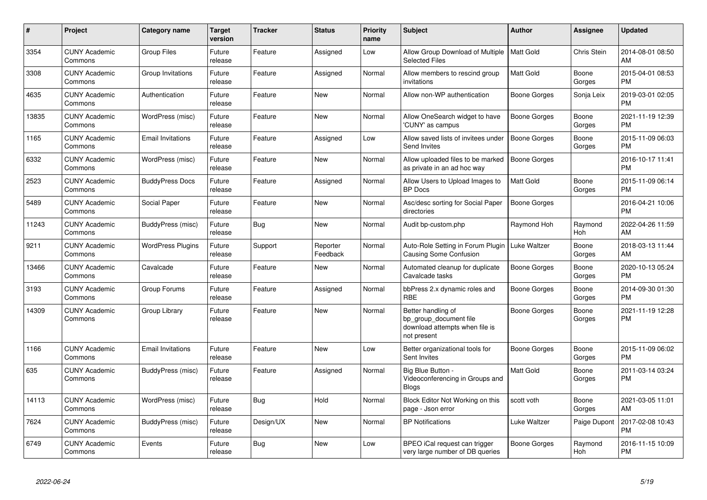| $\#$  | <b>Project</b>                  | Category name            | <b>Target</b><br>version | <b>Tracker</b> | <b>Status</b>        | <b>Priority</b><br>name | <b>Subject</b>                                                                                | Author              | Assignee              | <b>Updated</b>                |
|-------|---------------------------------|--------------------------|--------------------------|----------------|----------------------|-------------------------|-----------------------------------------------------------------------------------------------|---------------------|-----------------------|-------------------------------|
| 3354  | <b>CUNY Academic</b><br>Commons | <b>Group Files</b>       | Future<br>release        | Feature        | Assigned             | Low                     | Allow Group Download of Multiple<br><b>Selected Files</b>                                     | <b>Matt Gold</b>    | Chris Stein           | 2014-08-01 08:50<br>AM        |
| 3308  | <b>CUNY Academic</b><br>Commons | Group Invitations        | Future<br>release        | Feature        | Assigned             | Normal                  | Allow members to rescind group<br>invitations                                                 | <b>Matt Gold</b>    | Boone<br>Gorges       | 2015-04-01 08:53<br><b>PM</b> |
| 4635  | <b>CUNY Academic</b><br>Commons | Authentication           | Future<br>release        | Feature        | <b>New</b>           | Normal                  | Allow non-WP authentication                                                                   | Boone Gorges        | Sonja Leix            | 2019-03-01 02:05<br><b>PM</b> |
| 13835 | <b>CUNY Academic</b><br>Commons | WordPress (misc)         | Future<br>release        | Feature        | <b>New</b>           | Normal                  | Allow OneSearch widget to have<br>'CUNY' as campus                                            | <b>Boone Gorges</b> | Boone<br>Gorges       | 2021-11-19 12:39<br><b>PM</b> |
| 1165  | <b>CUNY Academic</b><br>Commons | <b>Email Invitations</b> | Future<br>release        | Feature        | Assigned             | Low                     | Allow saved lists of invitees under<br>Send Invites                                           | <b>Boone Gorges</b> | Boone<br>Gorges       | 2015-11-09 06:03<br><b>PM</b> |
| 6332  | <b>CUNY Academic</b><br>Commons | WordPress (misc)         | Future<br>release        | Feature        | <b>New</b>           | Normal                  | Allow uploaded files to be marked<br>as private in an ad hoc way                              | <b>Boone Gorges</b> |                       | 2016-10-17 11:41<br><b>PM</b> |
| 2523  | <b>CUNY Academic</b><br>Commons | <b>BuddyPress Docs</b>   | Future<br>release        | Feature        | Assigned             | Normal                  | Allow Users to Upload Images to<br><b>BP</b> Docs                                             | <b>Matt Gold</b>    | Boone<br>Gorges       | 2015-11-09 06:14<br><b>PM</b> |
| 5489  | <b>CUNY Academic</b><br>Commons | Social Paper             | Future<br>release        | Feature        | <b>New</b>           | Normal                  | Asc/desc sorting for Social Paper<br>directories                                              | <b>Boone Gorges</b> |                       | 2016-04-21 10:06<br><b>PM</b> |
| 11243 | <b>CUNY Academic</b><br>Commons | BuddyPress (misc)        | Future<br>release        | Bug            | <b>New</b>           | Normal                  | Audit bp-custom.php                                                                           | Raymond Hoh         | Raymond<br><b>Hoh</b> | 2022-04-26 11:59<br>AM        |
| 9211  | <b>CUNY Academic</b><br>Commons | <b>WordPress Plugins</b> | Future<br>release        | Support        | Reporter<br>Feedback | Normal                  | Auto-Role Setting in Forum Plugin<br>Causing Some Confusion                                   | Luke Waltzer        | Boone<br>Gorges       | 2018-03-13 11:44<br>AM        |
| 13466 | <b>CUNY Academic</b><br>Commons | Cavalcade                | Future<br>release        | Feature        | New                  | Normal                  | Automated cleanup for duplicate<br>Cavalcade tasks                                            | <b>Boone Gorges</b> | Boone<br>Gorges       | 2020-10-13 05:24<br><b>PM</b> |
| 3193  | <b>CUNY Academic</b><br>Commons | Group Forums             | Future<br>release        | Feature        | Assigned             | Normal                  | bbPress 2.x dynamic roles and<br><b>RBE</b>                                                   | <b>Boone Gorges</b> | Boone<br>Gorges       | 2014-09-30 01:30<br><b>PM</b> |
| 14309 | <b>CUNY Academic</b><br>Commons | Group Library            | Future<br>release        | Feature        | <b>New</b>           | Normal                  | Better handling of<br>bp group document file<br>download attempts when file is<br>not present | <b>Boone Gorges</b> | Boone<br>Gorges       | 2021-11-19 12:28<br><b>PM</b> |
| 1166  | <b>CUNY Academic</b><br>Commons | <b>Email Invitations</b> | Future<br>release        | Feature        | <b>New</b>           | Low                     | Better organizational tools for<br>Sent Invites                                               | Boone Gorges        | Boone<br>Gorges       | 2015-11-09 06:02<br><b>PM</b> |
| 635   | <b>CUNY Academic</b><br>Commons | BuddyPress (misc)        | Future<br>release        | Feature        | Assigned             | Normal                  | Big Blue Button -<br>Videoconferencing in Groups and<br><b>Blogs</b>                          | Matt Gold           | Boone<br>Gorges       | 2011-03-14 03:24<br><b>PM</b> |
| 14113 | <b>CUNY Academic</b><br>Commons | WordPress (misc)         | Future<br>release        | <b>Bug</b>     | Hold                 | Normal                  | Block Editor Not Working on this<br>page - Json error                                         | scott voth          | Boone<br>Gorges       | 2021-03-05 11:01<br>AM        |
| 7624  | <b>CUNY Academic</b><br>Commons | BuddyPress (misc)        | Future<br>release        | Design/UX      | <b>New</b>           | Normal                  | <b>BP Notifications</b>                                                                       | Luke Waltzer        | Paige Dupont          | 2017-02-08 10:43<br><b>PM</b> |
| 6749  | <b>CUNY Academic</b><br>Commons | Events                   | Future<br>release        | <b>Bug</b>     | <b>New</b>           | Low                     | BPEO iCal request can trigger<br>very large number of DB queries                              | Boone Gorges        | Raymond<br>Hoh        | 2016-11-15 10:09<br>PM        |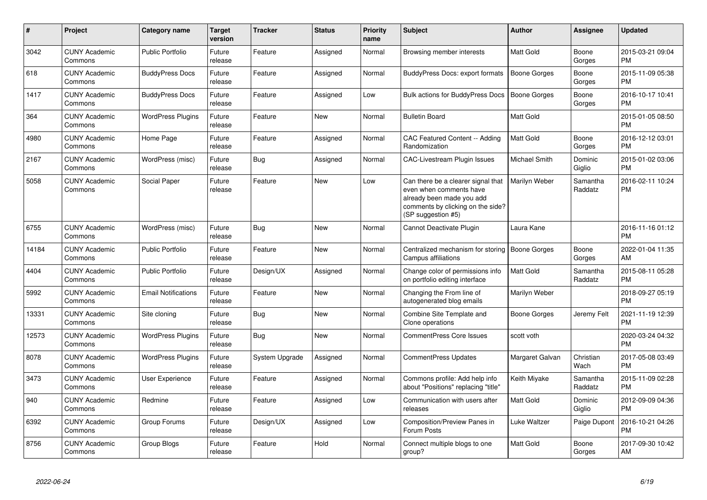| $\pmb{\#}$ | Project                         | <b>Category name</b>       | Target<br>version | <b>Tracker</b> | <b>Status</b> | <b>Priority</b><br>name | <b>Subject</b>                                                                                                                                        | <b>Author</b>       | <b>Assignee</b>     | <b>Updated</b>                |
|------------|---------------------------------|----------------------------|-------------------|----------------|---------------|-------------------------|-------------------------------------------------------------------------------------------------------------------------------------------------------|---------------------|---------------------|-------------------------------|
| 3042       | <b>CUNY Academic</b><br>Commons | <b>Public Portfolio</b>    | Future<br>release | Feature        | Assigned      | Normal                  | Browsing member interests                                                                                                                             | <b>Matt Gold</b>    | Boone<br>Gorges     | 2015-03-21 09:04<br><b>PM</b> |
| 618        | <b>CUNY Academic</b><br>Commons | <b>BuddyPress Docs</b>     | Future<br>release | Feature        | Assigned      | Normal                  | BuddyPress Docs: export formats                                                                                                                       | <b>Boone Gorges</b> | Boone<br>Gorges     | 2015-11-09 05:38<br>РM        |
| 1417       | <b>CUNY Academic</b><br>Commons | <b>BuddyPress Docs</b>     | Future<br>release | Feature        | Assigned      | Low                     | Bulk actions for BuddyPress Docs                                                                                                                      | Boone Gorges        | Boone<br>Gorges     | 2016-10-17 10:41<br><b>PM</b> |
| 364        | <b>CUNY Academic</b><br>Commons | <b>WordPress Plugins</b>   | Future<br>release | Feature        | <b>New</b>    | Normal                  | <b>Bulletin Board</b>                                                                                                                                 | Matt Gold           |                     | 2015-01-05 08:50<br><b>PM</b> |
| 4980       | <b>CUNY Academic</b><br>Commons | Home Page                  | Future<br>release | Feature        | Assigned      | Normal                  | CAC Featured Content -- Adding<br>Randomization                                                                                                       | Matt Gold           | Boone<br>Gorges     | 2016-12-12 03:01<br><b>PM</b> |
| 2167       | <b>CUNY Academic</b><br>Commons | WordPress (misc)           | Future<br>release | Bug            | Assigned      | Normal                  | <b>CAC-Livestream Plugin Issues</b>                                                                                                                   | Michael Smith       | Dominic<br>Giglio   | 2015-01-02 03:06<br>PM        |
| 5058       | <b>CUNY Academic</b><br>Commons | Social Paper               | Future<br>release | Feature        | <b>New</b>    | Low                     | Can there be a clearer signal that<br>even when comments have<br>already been made you add<br>comments by clicking on the side?<br>(SP suggestion #5) | Marilyn Weber       | Samantha<br>Raddatz | 2016-02-11 10:24<br>PM        |
| 6755       | <b>CUNY Academic</b><br>Commons | WordPress (misc)           | Future<br>release | Bug            | <b>New</b>    | Normal                  | Cannot Deactivate Plugin                                                                                                                              | Laura Kane          |                     | 2016-11-16 01:12<br><b>PM</b> |
| 14184      | <b>CUNY Academic</b><br>Commons | <b>Public Portfolio</b>    | Future<br>release | Feature        | <b>New</b>    | Normal                  | Centralized mechanism for storing<br>Campus affiliations                                                                                              | <b>Boone Gorges</b> | Boone<br>Gorges     | 2022-01-04 11:35<br>AM        |
| 4404       | <b>CUNY Academic</b><br>Commons | <b>Public Portfolio</b>    | Future<br>release | Design/UX      | Assigned      | Normal                  | Change color of permissions info<br>on portfolio editing interface                                                                                    | Matt Gold           | Samantha<br>Raddatz | 2015-08-11 05:28<br>PM        |
| 5992       | <b>CUNY Academic</b><br>Commons | <b>Email Notifications</b> | Future<br>release | Feature        | <b>New</b>    | Normal                  | Changing the From line of<br>autogenerated blog emails                                                                                                | Marilyn Weber       |                     | 2018-09-27 05:19<br><b>PM</b> |
| 13331      | <b>CUNY Academic</b><br>Commons | Site cloning               | Future<br>release | <b>Bug</b>     | <b>New</b>    | Normal                  | Combine Site Template and<br>Clone operations                                                                                                         | Boone Gorges        | Jeremy Felt         | 2021-11-19 12:39<br><b>PM</b> |
| 12573      | <b>CUNY Academic</b><br>Commons | <b>WordPress Plugins</b>   | Future<br>release | Bug            | New           | Normal                  | <b>CommentPress Core Issues</b>                                                                                                                       | scott voth          |                     | 2020-03-24 04:32<br>PM        |
| 8078       | <b>CUNY Academic</b><br>Commons | <b>WordPress Plugins</b>   | Future<br>release | System Upgrade | Assigned      | Normal                  | <b>CommentPress Updates</b>                                                                                                                           | Margaret Galvan     | Christian<br>Wach   | 2017-05-08 03:49<br>PM        |
| 3473       | <b>CUNY Academic</b><br>Commons | User Experience            | Future<br>release | Feature        | Assigned      | Normal                  | Commons profile: Add help info<br>about "Positions" replacing "title"                                                                                 | Keith Miyake        | Samantha<br>Raddatz | 2015-11-09 02:28<br>PM        |
| 940        | <b>CUNY Academic</b><br>Commons | Redmine                    | Future<br>release | Feature        | Assigned      | Low                     | Communication with users after<br>releases                                                                                                            | Matt Gold           | Dominic<br>Giglio   | 2012-09-09 04:36<br><b>PM</b> |
| 6392       | <b>CUNY Academic</b><br>Commons | Group Forums               | Future<br>release | Design/UX      | Assigned      | Low                     | Composition/Preview Panes in<br>Forum Posts                                                                                                           | Luke Waltzer        | Paige Dupont        | 2016-10-21 04:26<br>РM        |
| 8756       | <b>CUNY Academic</b><br>Commons | Group Blogs                | Future<br>release | Feature        | Hold          | Normal                  | Connect multiple blogs to one<br>group?                                                                                                               | Matt Gold           | Boone<br>Gorges     | 2017-09-30 10:42<br>AM        |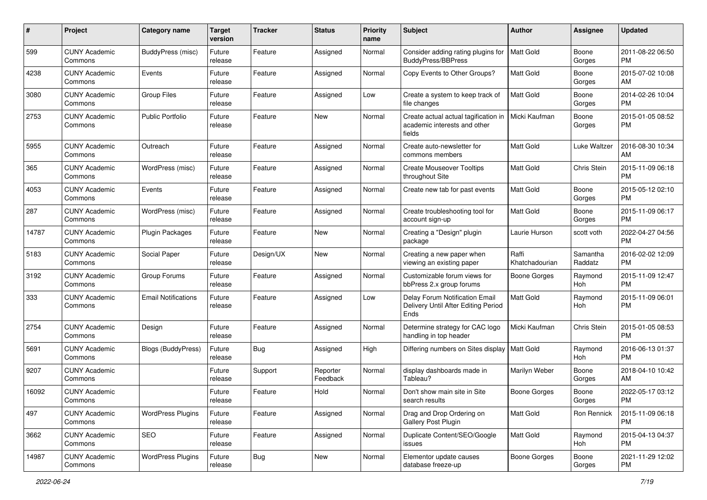| #     | Project                         | <b>Category name</b>       | <b>Target</b><br>version | <b>Tracker</b> | <b>Status</b>        | <b>Priority</b><br>name | Subject                                                                        | Author                  | <b>Assignee</b>     | <b>Updated</b>                |
|-------|---------------------------------|----------------------------|--------------------------|----------------|----------------------|-------------------------|--------------------------------------------------------------------------------|-------------------------|---------------------|-------------------------------|
| 599   | <b>CUNY Academic</b><br>Commons | BuddyPress (misc)          | Future<br>release        | Feature        | Assigned             | Normal                  | Consider adding rating plugins for<br>BuddyPress/BBPress                       | <b>Matt Gold</b>        | Boone<br>Gorges     | 2011-08-22 06:50<br>PM        |
| 4238  | <b>CUNY Academic</b><br>Commons | Events                     | Future<br>release        | Feature        | Assigned             | Normal                  | Copy Events to Other Groups?                                                   | Matt Gold               | Boone<br>Gorges     | 2015-07-02 10:08<br>AM        |
| 3080  | <b>CUNY Academic</b><br>Commons | <b>Group Files</b>         | Future<br>release        | Feature        | Assigned             | Low                     | Create a system to keep track of<br>file changes                               | Matt Gold               | Boone<br>Gorges     | 2014-02-26 10:04<br><b>PM</b> |
| 2753  | <b>CUNY Academic</b><br>Commons | <b>Public Portfolio</b>    | Future<br>release        | Feature        | New                  | Normal                  | Create actual actual tagification in<br>academic interests and other<br>fields | Micki Kaufman           | Boone<br>Gorges     | 2015-01-05 08:52<br>PM        |
| 5955  | <b>CUNY Academic</b><br>Commons | Outreach                   | Future<br>release        | Feature        | Assigned             | Normal                  | Create auto-newsletter for<br>commons members                                  | <b>Matt Gold</b>        | Luke Waltzer        | 2016-08-30 10:34<br>AM        |
| 365   | <b>CUNY Academic</b><br>Commons | WordPress (misc)           | Future<br>release        | Feature        | Assigned             | Normal                  | <b>Create Mouseover Tooltips</b><br>throughout Site                            | Matt Gold               | Chris Stein         | 2015-11-09 06:18<br><b>PM</b> |
| 4053  | <b>CUNY Academic</b><br>Commons | Events                     | Future<br>release        | Feature        | Assigned             | Normal                  | Create new tab for past events                                                 | <b>Matt Gold</b>        | Boone<br>Gorges     | 2015-05-12 02:10<br>PM        |
| 287   | <b>CUNY Academic</b><br>Commons | WordPress (misc)           | Future<br>release        | Feature        | Assigned             | Normal                  | Create troubleshooting tool for<br>account sign-up                             | Matt Gold               | Boone<br>Gorges     | 2015-11-09 06:17<br>PM        |
| 14787 | <b>CUNY Academic</b><br>Commons | Plugin Packages            | Future<br>release        | Feature        | New                  | Normal                  | Creating a "Design" plugin<br>package                                          | Laurie Hurson           | scott voth          | 2022-04-27 04:56<br>PM        |
| 5183  | <b>CUNY Academic</b><br>Commons | Social Paper               | Future<br>release        | Design/UX      | New                  | Normal                  | Creating a new paper when<br>viewing an existing paper                         | Raffi<br>Khatchadourian | Samantha<br>Raddatz | 2016-02-02 12:09<br><b>PM</b> |
| 3192  | <b>CUNY Academic</b><br>Commons | Group Forums               | Future<br>release        | Feature        | Assigned             | Normal                  | Customizable forum views for<br>bbPress 2.x group forums                       | <b>Boone Gorges</b>     | Raymond<br>Hoh      | 2015-11-09 12:47<br><b>PM</b> |
| 333   | <b>CUNY Academic</b><br>Commons | <b>Email Notifications</b> | Future<br>release        | Feature        | Assigned             | Low                     | Delay Forum Notification Email<br>Delivery Until After Editing Period<br>Ends  | <b>Matt Gold</b>        | Raymond<br>Hoh      | 2015-11-09 06:01<br><b>PM</b> |
| 2754  | <b>CUNY Academic</b><br>Commons | Design                     | Future<br>release        | Feature        | Assigned             | Normal                  | Determine strategy for CAC logo<br>handling in top header                      | Micki Kaufman           | Chris Stein         | 2015-01-05 08:53<br><b>PM</b> |
| 5691  | <b>CUNY Academic</b><br>Commons | <b>Blogs (BuddyPress)</b>  | Future<br>release        | Bug            | Assigned             | High                    | Differing numbers on Sites display   Matt Gold                                 |                         | Raymond<br>Hoh      | 2016-06-13 01:37<br><b>PM</b> |
| 9207  | <b>CUNY Academic</b><br>Commons |                            | Future<br>release        | Support        | Reporter<br>Feedback | Normal                  | display dashboards made in<br>Tableau?                                         | Marilyn Weber           | Boone<br>Gorges     | 2018-04-10 10:42<br>AM        |
| 16092 | <b>CUNY Academic</b><br>Commons |                            | Future<br>release        | Feature        | Hold                 | Normal                  | Don't show main site in Site<br>search results                                 | Boone Gorges            | Boone<br>Gorges     | 2022-05-17 03:12<br>PM        |
| 497   | <b>CUNY Academic</b><br>Commons | <b>WordPress Plugins</b>   | Future<br>release        | Feature        | Assigned             | Normal                  | Drag and Drop Ordering on<br>Gallery Post Plugin                               | Matt Gold               | Ron Rennick         | 2015-11-09 06:18<br><b>PM</b> |
| 3662  | <b>CUNY Academic</b><br>Commons | SEO                        | Future<br>release        | Feature        | Assigned             | Normal                  | Duplicate Content/SEO/Google<br>issues                                         | Matt Gold               | Raymond<br>Hoh      | 2015-04-13 04:37<br><b>PM</b> |
| 14987 | <b>CUNY Academic</b><br>Commons | <b>WordPress Plugins</b>   | Future<br>release        | <b>Bug</b>     | New                  | Normal                  | Elementor update causes<br>database freeze-up                                  | Boone Gorges            | Boone<br>Gorges     | 2021-11-29 12:02<br><b>PM</b> |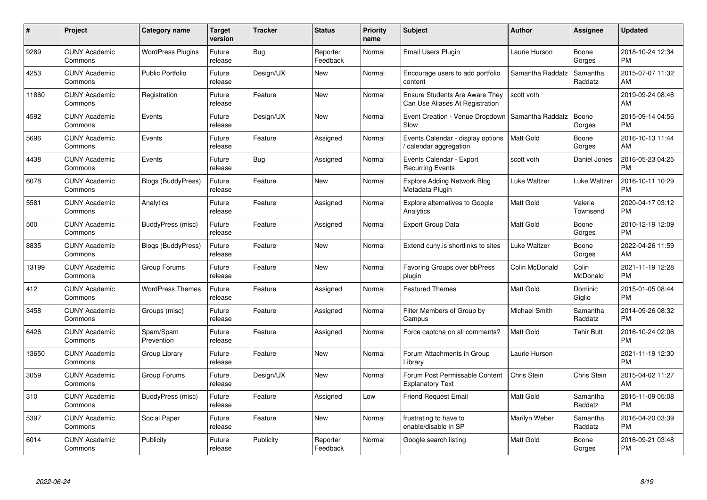| $\pmb{\#}$ | Project                         | <b>Category name</b>      | <b>Target</b><br>version | <b>Tracker</b> | <b>Status</b>        | <b>Priority</b><br>name | <b>Subject</b>                                                           | Author           | <b>Assignee</b>     | <b>Updated</b>                |
|------------|---------------------------------|---------------------------|--------------------------|----------------|----------------------|-------------------------|--------------------------------------------------------------------------|------------------|---------------------|-------------------------------|
| 9289       | <b>CUNY Academic</b><br>Commons | <b>WordPress Plugins</b>  | Future<br>release        | Bug            | Reporter<br>Feedback | Normal                  | <b>Email Users Plugin</b>                                                | Laurie Hurson    | Boone<br>Gorges     | 2018-10-24 12:34<br><b>PM</b> |
| 4253       | <b>CUNY Academic</b><br>Commons | <b>Public Portfolio</b>   | Future<br>release        | Design/UX      | <b>New</b>           | Normal                  | Encourage users to add portfolio<br>content                              | Samantha Raddatz | Samantha<br>Raddatz | 2015-07-07 11:32<br>AM        |
| 11860      | <b>CUNY Academic</b><br>Commons | Registration              | Future<br>release        | Feature        | <b>New</b>           | Normal                  | <b>Ensure Students Are Aware They</b><br>Can Use Aliases At Registration | scott voth       |                     | 2019-09-24 08:46<br>AM        |
| 4592       | <b>CUNY Academic</b><br>Commons | Events                    | Future<br>release        | Design/UX      | <b>New</b>           | Normal                  | Event Creation - Venue Dropdown<br>Slow                                  | Samantha Raddatz | Boone<br>Gorges     | 2015-09-14 04:56<br><b>PM</b> |
| 5696       | <b>CUNY Academic</b><br>Commons | Events                    | Future<br>release        | Feature        | Assigned             | Normal                  | Events Calendar - display options<br>/ calendar aggregation              | <b>Matt Gold</b> | Boone<br>Gorges     | 2016-10-13 11:44<br>AM        |
| 4438       | <b>CUNY Academic</b><br>Commons | Events                    | Future<br>release        | Bug            | Assigned             | Normal                  | Events Calendar - Export<br><b>Recurring Events</b>                      | scott voth       | Daniel Jones        | 2016-05-23 04:25<br><b>PM</b> |
| 6078       | <b>CUNY Academic</b><br>Commons | <b>Blogs (BuddyPress)</b> | Future<br>release        | Feature        | <b>New</b>           | Normal                  | <b>Explore Adding Network Blog</b><br>Metadata Plugin                    | Luke Waltzer     | Luke Waltzer        | 2016-10-11 10:29<br><b>PM</b> |
| 5581       | <b>CUNY Academic</b><br>Commons | Analytics                 | Future<br>release        | Feature        | Assigned             | Normal                  | Explore alternatives to Google<br>Analytics                              | <b>Matt Gold</b> | Valerie<br>Townsend | 2020-04-17 03:12<br><b>PM</b> |
| 500        | <b>CUNY Academic</b><br>Commons | BuddyPress (misc)         | Future<br>release        | Feature        | Assigned             | Normal                  | <b>Export Group Data</b>                                                 | <b>Matt Gold</b> | Boone<br>Gorges     | 2010-12-19 12:09<br><b>PM</b> |
| 8835       | <b>CUNY Academic</b><br>Commons | Blogs (BuddyPress)        | Future<br>release        | Feature        | <b>New</b>           | Normal                  | Extend cuny. is shortlinks to sites                                      | Luke Waltzer     | Boone<br>Gorges     | 2022-04-26 11:59<br>AM        |
| 13199      | <b>CUNY Academic</b><br>Commons | Group Forums              | Future<br>release        | Feature        | New                  | Normal                  | <b>Favoring Groups over bbPress</b><br>plugin                            | Colin McDonald   | Colin<br>McDonald   | 2021-11-19 12:28<br><b>PM</b> |
| 412        | <b>CUNY Academic</b><br>Commons | <b>WordPress Themes</b>   | Future<br>release        | Feature        | Assigned             | Normal                  | <b>Featured Themes</b>                                                   | <b>Matt Gold</b> | Dominic<br>Giglio   | 2015-01-05 08:44<br><b>PM</b> |
| 3458       | <b>CUNY Academic</b><br>Commons | Groups (misc)             | Future<br>release        | Feature        | Assigned             | Normal                  | Filter Members of Group by<br>Campus                                     | Michael Smith    | Samantha<br>Raddatz | 2014-09-26 08:32<br><b>PM</b> |
| 6426       | <b>CUNY Academic</b><br>Commons | Spam/Spam<br>Prevention   | Future<br>release        | Feature        | Assigned             | Normal                  | Force captcha on all comments?                                           | Matt Gold        | <b>Tahir Butt</b>   | 2016-10-24 02:06<br><b>PM</b> |
| 13650      | <b>CUNY Academic</b><br>Commons | Group Library             | Future<br>release        | Feature        | <b>New</b>           | Normal                  | Forum Attachments in Group<br>Library                                    | Laurie Hurson    |                     | 2021-11-19 12:30<br><b>PM</b> |
| 3059       | <b>CUNY Academic</b><br>Commons | Group Forums              | Future<br>release        | Design/UX      | <b>New</b>           | Normal                  | Forum Post Permissable Content<br><b>Explanatory Text</b>                | Chris Stein      | Chris Stein         | 2015-04-02 11:27<br>AM        |
| 310        | <b>CUNY Academic</b><br>Commons | BuddyPress (misc)         | Future<br>release        | Feature        | Assigned             | Low                     | <b>Friend Request Email</b>                                              | <b>Matt Gold</b> | Samantha<br>Raddatz | 2015-11-09 05:08<br><b>PM</b> |
| 5397       | <b>CUNY Academic</b><br>Commons | Social Paper              | Future<br>release        | Feature        | <b>New</b>           | Normal                  | frustrating to have to<br>enable/disable in SP                           | Marilyn Weber    | Samantha<br>Raddatz | 2016-04-20 03:39<br><b>PM</b> |
| 6014       | CUNY Academic<br>Commons        | Publicity                 | Future<br>release        | Publicity      | Reporter<br>Feedback | Normal                  | Google search listing                                                    | <b>Matt Gold</b> | Boone<br>Gorges     | 2016-09-21 03:48<br>PM        |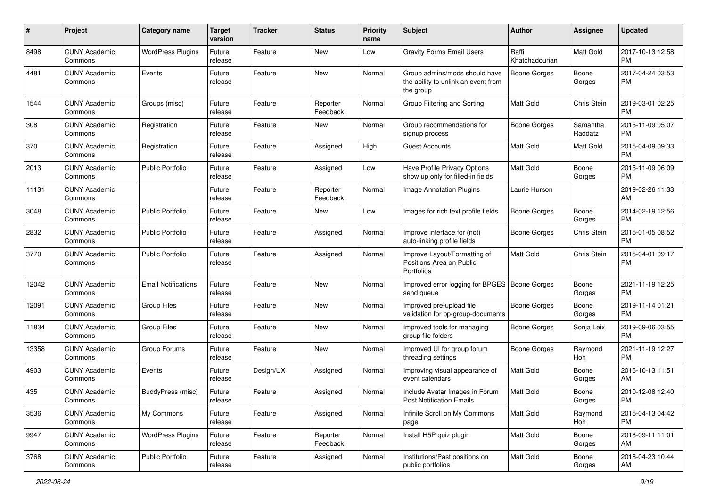| #     | Project                         | <b>Category name</b>       | <b>Target</b><br>version | <b>Tracker</b> | <b>Status</b>        | <b>Priority</b><br>name | <b>Subject</b>                                                                    | <b>Author</b>           | <b>Assignee</b>     | <b>Updated</b>                |
|-------|---------------------------------|----------------------------|--------------------------|----------------|----------------------|-------------------------|-----------------------------------------------------------------------------------|-------------------------|---------------------|-------------------------------|
| 8498  | <b>CUNY Academic</b><br>Commons | <b>WordPress Plugins</b>   | Future<br>release        | Feature        | <b>New</b>           | Low                     | <b>Gravity Forms Email Users</b>                                                  | Raffi<br>Khatchadourian | Matt Gold           | 2017-10-13 12:58<br><b>PM</b> |
| 4481  | <b>CUNY Academic</b><br>Commons | Events                     | Future<br>release        | Feature        | New                  | Normal                  | Group admins/mods should have<br>the ability to unlink an event from<br>the group | <b>Boone Gorges</b>     | Boone<br>Gorges     | 2017-04-24 03:53<br><b>PM</b> |
| 1544  | <b>CUNY Academic</b><br>Commons | Groups (misc)              | Future<br>release        | Feature        | Reporter<br>Feedback | Normal                  | Group Filtering and Sorting                                                       | Matt Gold               | Chris Stein         | 2019-03-01 02:25<br><b>PM</b> |
| 308   | <b>CUNY Academic</b><br>Commons | Registration               | Future<br>release        | Feature        | New                  | Normal                  | Group recommendations for<br>signup process                                       | <b>Boone Gorges</b>     | Samantha<br>Raddatz | 2015-11-09 05:07<br><b>PM</b> |
| 370   | <b>CUNY Academic</b><br>Commons | Registration               | Future<br>release        | Feature        | Assigned             | High                    | Guest Accounts                                                                    | Matt Gold               | Matt Gold           | 2015-04-09 09:33<br><b>PM</b> |
| 2013  | <b>CUNY Academic</b><br>Commons | <b>Public Portfolio</b>    | Future<br>release        | Feature        | Assigned             | Low                     | Have Profile Privacy Options<br>show up only for filled-in fields                 | Matt Gold               | Boone<br>Gorges     | 2015-11-09 06:09<br><b>PM</b> |
| 11131 | <b>CUNY Academic</b><br>Commons |                            | Future<br>release        | Feature        | Reporter<br>Feedback | Normal                  | <b>Image Annotation Plugins</b>                                                   | Laurie Hurson           |                     | 2019-02-26 11:33<br>AM        |
| 3048  | <b>CUNY Academic</b><br>Commons | <b>Public Portfolio</b>    | Future<br>release        | Feature        | New                  | Low                     | Images for rich text profile fields                                               | <b>Boone Gorges</b>     | Boone<br>Gorges     | 2014-02-19 12:56<br><b>PM</b> |
| 2832  | <b>CUNY Academic</b><br>Commons | <b>Public Portfolio</b>    | Future<br>release        | Feature        | Assigned             | Normal                  | Improve interface for (not)<br>auto-linking profile fields                        | Boone Gorges            | Chris Stein         | 2015-01-05 08:52<br><b>PM</b> |
| 3770  | <b>CUNY Academic</b><br>Commons | <b>Public Portfolio</b>    | Future<br>release        | Feature        | Assigned             | Normal                  | Improve Layout/Formatting of<br>Positions Area on Public<br>Portfolios            | Matt Gold               | Chris Stein         | 2015-04-01 09:17<br><b>PM</b> |
| 12042 | <b>CUNY Academic</b><br>Commons | <b>Email Notifications</b> | Future<br>release        | Feature        | New                  | Normal                  | Improved error logging for BPGES   Boone Gorges<br>send queue                     |                         | Boone<br>Gorges     | 2021-11-19 12:25<br><b>PM</b> |
| 12091 | <b>CUNY Academic</b><br>Commons | <b>Group Files</b>         | Future<br>release        | Feature        | <b>New</b>           | Normal                  | Improved pre-upload file<br>validation for bp-group-documents                     | <b>Boone Gorges</b>     | Boone<br>Gorges     | 2019-11-14 01:21<br><b>PM</b> |
| 11834 | <b>CUNY Academic</b><br>Commons | <b>Group Files</b>         | Future<br>release        | Feature        | New                  | Normal                  | Improved tools for managing<br>group file folders                                 | Boone Gorges            | Sonja Leix          | 2019-09-06 03:55<br><b>PM</b> |
| 13358 | <b>CUNY Academic</b><br>Commons | Group Forums               | Future<br>release        | Feature        | New                  | Normal                  | Improved UI for group forum<br>threading settings                                 | Boone Gorges            | Raymond<br>Hoh      | 2021-11-19 12:27<br><b>PM</b> |
| 4903  | <b>CUNY Academic</b><br>Commons | Events                     | Future<br>release        | Design/UX      | Assigned             | Normal                  | Improving visual appearance of<br>event calendars                                 | <b>Matt Gold</b>        | Boone<br>Gorges     | 2016-10-13 11:51<br>AM        |
| 435   | <b>CUNY Academic</b><br>Commons | BuddyPress (misc)          | Future<br>release        | Feature        | Assigned             | Normal                  | Include Avatar Images in Forum<br><b>Post Notification Emails</b>                 | <b>Matt Gold</b>        | Boone<br>Gorges     | 2010-12-08 12:40<br>PM        |
| 3536  | <b>CUNY Academic</b><br>Commons | My Commons                 | Future<br>release        | Feature        | Assigned             | Normal                  | Infinite Scroll on My Commons<br>page                                             | Matt Gold               | Raymond<br>Hoh      | 2015-04-13 04:42<br><b>PM</b> |
| 9947  | <b>CUNY Academic</b><br>Commons | <b>WordPress Plugins</b>   | Future<br>release        | Feature        | Reporter<br>Feedback | Normal                  | Install H5P quiz plugin                                                           | Matt Gold               | Boone<br>Gorges     | 2018-09-11 11:01<br>AM        |
| 3768  | <b>CUNY Academic</b><br>Commons | Public Portfolio           | Future<br>release        | Feature        | Assigned             | Normal                  | Institutions/Past positions on<br>public portfolios                               | Matt Gold               | Boone<br>Gorges     | 2018-04-23 10:44<br>AM        |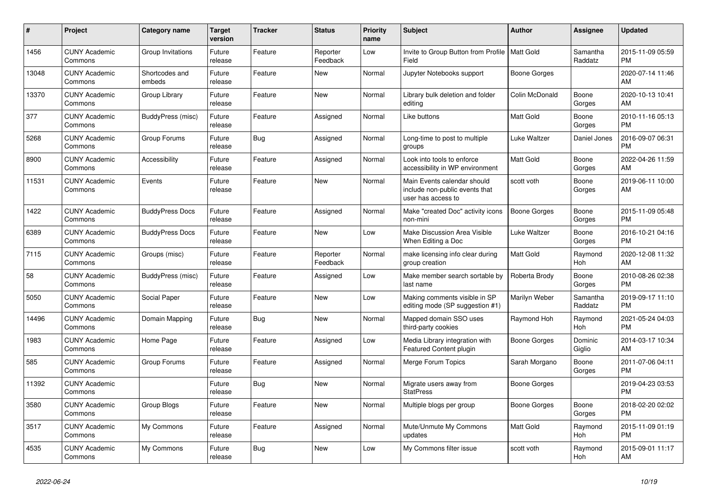| $\#$  | Project                         | <b>Category name</b>     | <b>Target</b><br>version | <b>Tracker</b> | <b>Status</b>        | <b>Priority</b><br>name | <b>Subject</b>                                                                      | <b>Author</b>       | <b>Assignee</b>       | <b>Updated</b>                |
|-------|---------------------------------|--------------------------|--------------------------|----------------|----------------------|-------------------------|-------------------------------------------------------------------------------------|---------------------|-----------------------|-------------------------------|
| 1456  | <b>CUNY Academic</b><br>Commons | Group Invitations        | Future<br>release        | Feature        | Reporter<br>Feedback | Low                     | Invite to Group Button from Profile   Matt Gold<br>Field                            |                     | Samantha<br>Raddatz   | 2015-11-09 05:59<br><b>PM</b> |
| 13048 | <b>CUNY Academic</b><br>Commons | Shortcodes and<br>embeds | Future<br>release        | Feature        | <b>New</b>           | Normal                  | Jupyter Notebooks support                                                           | Boone Gorges        |                       | 2020-07-14 11:46<br>AM        |
| 13370 | <b>CUNY Academic</b><br>Commons | Group Library            | Future<br>release        | Feature        | New                  | Normal                  | Library bulk deletion and folder<br>editina                                         | Colin McDonald      | Boone<br>Gorges       | 2020-10-13 10:41<br>AM        |
| 377   | <b>CUNY Academic</b><br>Commons | BuddyPress (misc)        | Future<br>release        | Feature        | Assigned             | Normal                  | Like buttons                                                                        | <b>Matt Gold</b>    | Boone<br>Gorges       | 2010-11-16 05:13<br><b>PM</b> |
| 5268  | <b>CUNY Academic</b><br>Commons | Group Forums             | Future<br>release        | Bug            | Assigned             | Normal                  | Long-time to post to multiple<br>groups                                             | Luke Waltzer        | Daniel Jones          | 2016-09-07 06:31<br><b>PM</b> |
| 8900  | <b>CUNY Academic</b><br>Commons | Accessibility            | Future<br>release        | Feature        | Assigned             | Normal                  | Look into tools to enforce<br>accessibility in WP environment                       | <b>Matt Gold</b>    | Boone<br>Gorges       | 2022-04-26 11:59<br>AM        |
| 11531 | <b>CUNY Academic</b><br>Commons | Events                   | Future<br>release        | Feature        | <b>New</b>           | Normal                  | Main Events calendar should<br>include non-public events that<br>user has access to | scott voth          | Boone<br>Gorges       | 2019-06-11 10:00<br>AM        |
| 1422  | <b>CUNY Academic</b><br>Commons | <b>BuddyPress Docs</b>   | Future<br>release        | Feature        | Assigned             | Normal                  | Make "created Doc" activity icons<br>non-mini                                       | <b>Boone Gorges</b> | Boone<br>Gorges       | 2015-11-09 05:48<br><b>PM</b> |
| 6389  | <b>CUNY Academic</b><br>Commons | <b>BuddyPress Docs</b>   | Future<br>release        | Feature        | <b>New</b>           | Low                     | Make Discussion Area Visible<br>When Editing a Doc                                  | Luke Waltzer        | Boone<br>Gorges       | 2016-10-21 04:16<br><b>PM</b> |
| 7115  | <b>CUNY Academic</b><br>Commons | Groups (misc)            | Future<br>release        | Feature        | Reporter<br>Feedback | Normal                  | make licensing info clear during<br>group creation                                  | <b>Matt Gold</b>    | Raymond<br>Hoh        | 2020-12-08 11:32<br>AM        |
| 58    | <b>CUNY Academic</b><br>Commons | BuddyPress (misc)        | Future<br>release        | Feature        | Assigned             | Low                     | Make member search sortable by<br>last name                                         | Roberta Brody       | Boone<br>Gorges       | 2010-08-26 02:38<br><b>PM</b> |
| 5050  | <b>CUNY Academic</b><br>Commons | Social Paper             | Future<br>release        | Feature        | New                  | Low                     | Making comments visible in SP<br>editing mode (SP suggestion #1)                    | Marilyn Weber       | Samantha<br>Raddatz   | 2019-09-17 11:10<br><b>PM</b> |
| 14496 | <b>CUNY Academic</b><br>Commons | Domain Mapping           | Future<br>release        | <b>Bug</b>     | <b>New</b>           | Normal                  | Mapped domain SSO uses<br>third-party cookies                                       | Raymond Hoh         | Raymond<br>Hoh        | 2021-05-24 04:03<br><b>PM</b> |
| 1983  | <b>CUNY Academic</b><br>Commons | Home Page                | Future<br>release        | Feature        | Assigned             | Low                     | Media Library integration with<br><b>Featured Content plugin</b>                    | Boone Gorges        | Dominic<br>Giglio     | 2014-03-17 10:34<br>AM        |
| 585   | <b>CUNY Academic</b><br>Commons | Group Forums             | Future<br>release        | Feature        | Assigned             | Normal                  | Merge Forum Topics                                                                  | Sarah Morgano       | Boone<br>Gorges       | 2011-07-06 04:11<br><b>PM</b> |
| 11392 | <b>CUNY Academic</b><br>Commons |                          | Future<br>release        | <b>Bug</b>     | <b>New</b>           | Normal                  | Migrate users away from<br><b>StatPress</b>                                         | Boone Gorges        |                       | 2019-04-23 03:53<br><b>PM</b> |
| 3580  | <b>CUNY Academic</b><br>Commons | Group Blogs              | Future<br>release        | Feature        | <b>New</b>           | Normal                  | Multiple blogs per group                                                            | <b>Boone Gorges</b> | Boone<br>Gorges       | 2018-02-20 02:02<br><b>PM</b> |
| 3517  | <b>CUNY Academic</b><br>Commons | My Commons               | Future<br>release        | Feature        | Assigned             | Normal                  | Mute/Unmute My Commons<br>updates                                                   | <b>Matt Gold</b>    | Raymond<br><b>Hoh</b> | 2015-11-09 01:19<br><b>PM</b> |
| 4535  | <b>CUNY Academic</b><br>Commons | My Commons               | Future<br>release        | Bug            | <b>New</b>           | Low                     | My Commons filter issue                                                             | scott voth          | Raymond<br>Hoh        | 2015-09-01 11:17<br>AM        |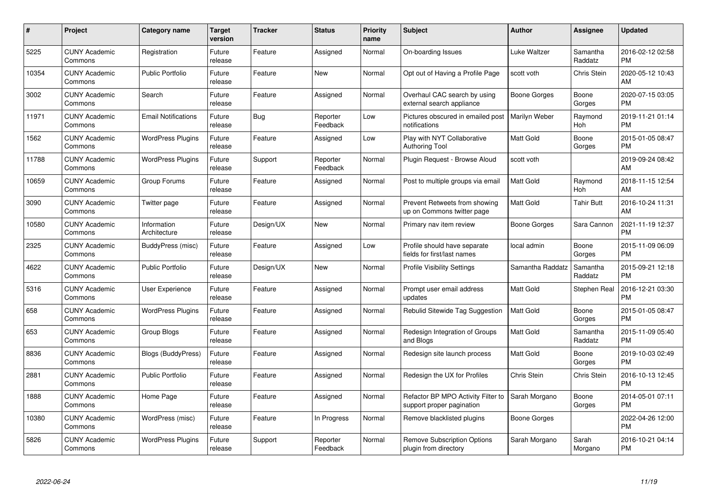| $\#$  | Project                         | <b>Category name</b>        | <b>Target</b><br>version | <b>Tracker</b> | <b>Status</b>        | <b>Priority</b><br>name | <b>Subject</b>                                                  | Author             | <b>Assignee</b>     | <b>Updated</b>                |
|-------|---------------------------------|-----------------------------|--------------------------|----------------|----------------------|-------------------------|-----------------------------------------------------------------|--------------------|---------------------|-------------------------------|
| 5225  | <b>CUNY Academic</b><br>Commons | Registration                | Future<br>release        | Feature        | Assigned             | Normal                  | On-boarding Issues                                              | Luke Waltzer       | Samantha<br>Raddatz | 2016-02-12 02:58<br><b>PM</b> |
| 10354 | <b>CUNY Academic</b><br>Commons | <b>Public Portfolio</b>     | Future<br>release        | Feature        | <b>New</b>           | Normal                  | Opt out of Having a Profile Page                                | scott voth         | Chris Stein         | 2020-05-12 10:43<br>AM        |
| 3002  | <b>CUNY Academic</b><br>Commons | Search                      | Future<br>release        | Feature        | Assigned             | Normal                  | Overhaul CAC search by using<br>external search appliance       | Boone Gorges       | Boone<br>Gorges     | 2020-07-15 03:05<br><b>PM</b> |
| 11971 | <b>CUNY Academic</b><br>Commons | <b>Email Notifications</b>  | Future<br>release        | <b>Bug</b>     | Reporter<br>Feedback | Low                     | Pictures obscured in emailed post<br>notifications              | Marilyn Weber      | Raymond<br>Hoh      | 2019-11-21 01:14<br><b>PM</b> |
| 1562  | <b>CUNY Academic</b><br>Commons | <b>WordPress Plugins</b>    | Future<br>release        | Feature        | Assigned             | Low                     | Play with NYT Collaborative<br><b>Authoring Tool</b>            | <b>Matt Gold</b>   | Boone<br>Gorges     | 2015-01-05 08:47<br><b>PM</b> |
| 11788 | <b>CUNY Academic</b><br>Commons | <b>WordPress Plugins</b>    | Future<br>release        | Support        | Reporter<br>Feedback | Normal                  | Plugin Request - Browse Aloud                                   | scott voth         |                     | 2019-09-24 08:42<br>AM        |
| 10659 | <b>CUNY Academic</b><br>Commons | Group Forums                | Future<br>release        | Feature        | Assigned             | Normal                  | Post to multiple groups via email                               | <b>Matt Gold</b>   | Raymond<br>Hoh      | 2018-11-15 12:54<br>AM        |
| 3090  | <b>CUNY Academic</b><br>Commons | Twitter page                | Future<br>release        | Feature        | Assigned             | Normal                  | Prevent Retweets from showing<br>up on Commons twitter page     | <b>Matt Gold</b>   | <b>Tahir Butt</b>   | 2016-10-24 11:31<br>AM        |
| 10580 | <b>CUNY Academic</b><br>Commons | Information<br>Architecture | Future<br>release        | Design/UX      | <b>New</b>           | Normal                  | Primary nav item review                                         | Boone Gorges       | Sara Cannon         | 2021-11-19 12:37<br><b>PM</b> |
| 2325  | <b>CUNY Academic</b><br>Commons | BuddyPress (misc)           | Future<br>release        | Feature        | Assigned             | Low                     | Profile should have separate<br>fields for first/last names     | local admin        | Boone<br>Gorges     | 2015-11-09 06:09<br><b>PM</b> |
| 4622  | <b>CUNY Academic</b><br>Commons | <b>Public Portfolio</b>     | Future<br>release        | Design/UX      | New                  | Normal                  | Profile Visibility Settings                                     | Samantha Raddatz   | Samantha<br>Raddatz | 2015-09-21 12:18<br><b>PM</b> |
| 5316  | <b>CUNY Academic</b><br>Commons | <b>User Experience</b>      | Future<br>release        | Feature        | Assigned             | Normal                  | Prompt user email address<br>updates                            | Matt Gold          | <b>Stephen Real</b> | 2016-12-21 03:30<br><b>PM</b> |
| 658   | <b>CUNY Academic</b><br>Commons | <b>WordPress Plugins</b>    | Future<br>release        | Feature        | Assigned             | Normal                  | Rebulid Sitewide Tag Suggestion                                 | <b>Matt Gold</b>   | Boone<br>Gorges     | 2015-01-05 08:47<br><b>PM</b> |
| 653   | <b>CUNY Academic</b><br>Commons | Group Blogs                 | Future<br>release        | Feature        | Assigned             | Normal                  | Redesign Integration of Groups<br>and Blogs                     | <b>Matt Gold</b>   | Samantha<br>Raddatz | 2015-11-09 05:40<br><b>PM</b> |
| 8836  | <b>CUNY Academic</b><br>Commons | <b>Blogs (BuddyPress)</b>   | Future<br>release        | Feature        | Assigned             | Normal                  | Redesign site launch process                                    | Matt Gold          | Boone<br>Gorges     | 2019-10-03 02:49<br><b>PM</b> |
| 2881  | <b>CUNY Academic</b><br>Commons | <b>Public Portfolio</b>     | Future<br>release        | Feature        | Assigned             | Normal                  | Redesign the UX for Profiles                                    | <b>Chris Stein</b> | Chris Stein         | 2016-10-13 12:45<br><b>PM</b> |
| 1888  | <b>CUNY Academic</b><br>Commons | Home Page                   | Future<br>release        | Feature        | Assigned             | Normal                  | Refactor BP MPO Activity Filter to<br>support proper pagination | Sarah Morgano      | Boone<br>Gorges     | 2014-05-01 07:11<br><b>PM</b> |
| 10380 | <b>CUNY Academic</b><br>Commons | WordPress (misc)            | Future<br>release        | Feature        | In Progress          | Normal                  | Remove blacklisted plugins                                      | Boone Gorges       |                     | 2022-04-26 12:00<br><b>PM</b> |
| 5826  | CUNY Academic<br>Commons        | <b>WordPress Plugins</b>    | Future<br>release        | Support        | Reporter<br>Feedback | Normal                  | <b>Remove Subscription Options</b><br>plugin from directory     | Sarah Morgano      | Sarah<br>Morgano    | 2016-10-21 04:14<br>PM        |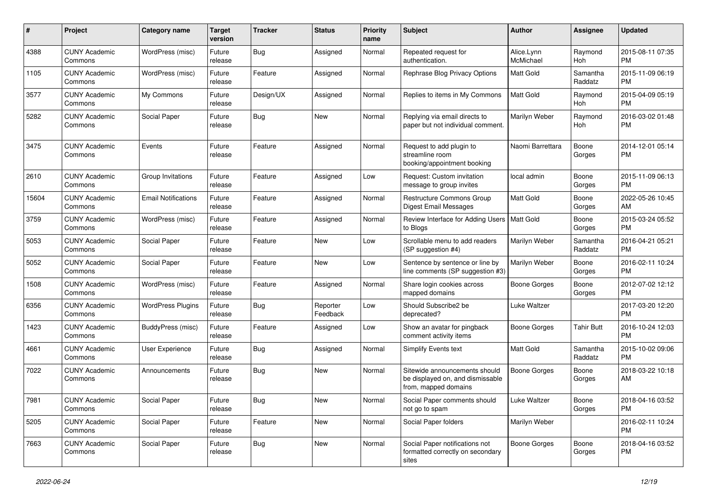| #     | Project                         | Category name              | <b>Target</b><br>version | Tracker    | <b>Status</b>        | <b>Priority</b><br>name | <b>Subject</b>                                                                            | Author                  | Assignee            | <b>Updated</b>                |
|-------|---------------------------------|----------------------------|--------------------------|------------|----------------------|-------------------------|-------------------------------------------------------------------------------------------|-------------------------|---------------------|-------------------------------|
| 4388  | <b>CUNY Academic</b><br>Commons | WordPress (misc)           | Future<br>release        | Bug        | Assigned             | Normal                  | Repeated request for<br>authentication.                                                   | Alice.Lynn<br>McMichael | Raymond<br>Hoh      | 2015-08-11 07:35<br><b>PM</b> |
| 1105  | <b>CUNY Academic</b><br>Commons | WordPress (misc)           | Future<br>release        | Feature    | Assigned             | Normal                  | Rephrase Blog Privacy Options                                                             | Matt Gold               | Samantha<br>Raddatz | 2015-11-09 06:19<br>РM        |
| 3577  | <b>CUNY Academic</b><br>Commons | My Commons                 | Future<br>release        | Design/UX  | Assigned             | Normal                  | Replies to items in My Commons                                                            | Matt Gold               | Raymond<br>Hoh      | 2015-04-09 05:19<br><b>PM</b> |
| 5282  | <b>CUNY Academic</b><br>Commons | Social Paper               | Future<br>release        | Bug        | <b>New</b>           | Normal                  | Replying via email directs to<br>paper but not individual comment.                        | Marilyn Weber           | Raymond<br>Hoh      | 2016-03-02 01:48<br>РM        |
| 3475  | <b>CUNY Academic</b><br>Commons | Events                     | Future<br>release        | Feature    | Assigned             | Normal                  | Request to add plugin to<br>streamline room<br>booking/appointment booking                | Naomi Barrettara        | Boone<br>Gorges     | 2014-12-01 05:14<br>PM        |
| 2610  | <b>CUNY Academic</b><br>Commons | Group Invitations          | Future<br>release        | Feature    | Assigned             | Low                     | Request: Custom invitation<br>message to group invites                                    | local admin             | Boone<br>Gorges     | 2015-11-09 06:13<br>PM        |
| 15604 | <b>CUNY Academic</b><br>Commons | <b>Email Notifications</b> | Future<br>release        | Feature    | Assigned             | Normal                  | Restructure Commons Group<br><b>Digest Email Messages</b>                                 | Matt Gold               | Boone<br>Gorges     | 2022-05-26 10:45<br>AM        |
| 3759  | <b>CUNY Academic</b><br>Commons | WordPress (misc)           | Future<br>release        | Feature    | Assigned             | Normal                  | Review Interface for Adding Users   Matt Gold<br>to Blogs                                 |                         | Boone<br>Gorges     | 2015-03-24 05:52<br>РM        |
| 5053  | <b>CUNY Academic</b><br>Commons | Social Paper               | Future<br>release        | Feature    | New                  | Low                     | Scrollable menu to add readers<br>(SP suggestion #4)                                      | Marilyn Weber           | Samantha<br>Raddatz | 2016-04-21 05:21<br><b>PM</b> |
| 5052  | <b>CUNY Academic</b><br>Commons | Social Paper               | Future<br>release        | Feature    | New                  | Low                     | Sentence by sentence or line by<br>line comments (SP suggestion #3)                       | Marilyn Weber           | Boone<br>Gorges     | 2016-02-11 10:24<br>PM        |
| 1508  | <b>CUNY Academic</b><br>Commons | WordPress (misc)           | Future<br>release        | Feature    | Assigned             | Normal                  | Share login cookies across<br>mapped domains                                              | <b>Boone Gorges</b>     | Boone<br>Gorges     | 2012-07-02 12:12<br><b>PM</b> |
| 6356  | <b>CUNY Academic</b><br>Commons | <b>WordPress Plugins</b>   | Future<br>release        | Bug        | Reporter<br>Feedback | Low                     | Should Subscribe2 be<br>deprecated?                                                       | Luke Waltzer            |                     | 2017-03-20 12:20<br><b>PM</b> |
| 1423  | <b>CUNY Academic</b><br>Commons | BuddyPress (misc)          | Future<br>release        | Feature    | Assigned             | Low                     | Show an avatar for pingback<br>comment activity items                                     | Boone Gorges            | <b>Tahir Butt</b>   | 2016-10-24 12:03<br><b>PM</b> |
| 4661  | <b>CUNY Academic</b><br>Commons | User Experience            | Future<br>release        | <b>Bug</b> | Assigned             | Normal                  | Simplify Events text                                                                      | Matt Gold               | Samantha<br>Raddatz | 2015-10-02 09:06<br><b>PM</b> |
| 7022  | <b>CUNY Academic</b><br>Commons | Announcements              | Future<br>release        | Bug        | New                  | Normal                  | Sitewide announcements should<br>be displayed on, and dismissable<br>from, mapped domains | <b>Boone Gorges</b>     | Boone<br>Gorges     | 2018-03-22 10:18<br>AM        |
| 7981  | <b>CUNY Academic</b><br>Commons | Social Paper               | Future<br>release        | <b>Bug</b> | New                  | Normal                  | Social Paper comments should<br>not go to spam                                            | Luke Waltzer            | Boone<br>Gorges     | 2018-04-16 03:52<br>PM        |
| 5205  | <b>CUNY Academic</b><br>Commons | Social Paper               | Future<br>release        | Feature    | New                  | Normal                  | Social Paper folders                                                                      | Marilyn Weber           |                     | 2016-02-11 10:24<br><b>PM</b> |
| 7663  | <b>CUNY Academic</b><br>Commons | Social Paper               | Future<br>release        | <b>Bug</b> | New                  | Normal                  | Social Paper notifications not<br>formatted correctly on secondary<br>sites               | Boone Gorges            | Boone<br>Gorges     | 2018-04-16 03:52<br>PM        |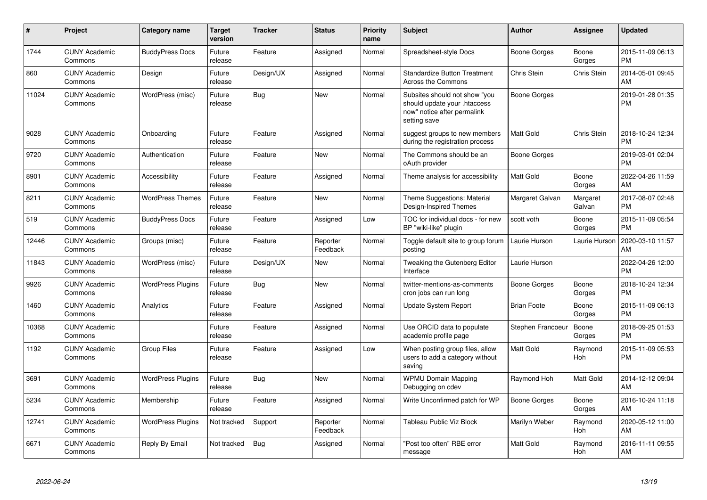| $\#$  | <b>Project</b>                  | Category name            | <b>Target</b><br>version | <b>Tracker</b> | <b>Status</b>        | <b>Priority</b><br>name | <b>Subject</b>                                                                                               | Author              | <b>Assignee</b>       | <b>Updated</b>                |
|-------|---------------------------------|--------------------------|--------------------------|----------------|----------------------|-------------------------|--------------------------------------------------------------------------------------------------------------|---------------------|-----------------------|-------------------------------|
| 1744  | <b>CUNY Academic</b><br>Commons | <b>BuddyPress Docs</b>   | Future<br>release        | Feature        | Assigned             | Normal                  | Spreadsheet-style Docs                                                                                       | Boone Gorges        | Boone<br>Gorges       | 2015-11-09 06:13<br><b>PM</b> |
| 860   | <b>CUNY Academic</b><br>Commons | Design                   | Future<br>release        | Design/UX      | Assigned             | Normal                  | <b>Standardize Button Treatment</b><br>Across the Commons                                                    | Chris Stein         | Chris Stein           | 2014-05-01 09:45<br>AM        |
| 11024 | <b>CUNY Academic</b><br>Commons | WordPress (misc)         | Future<br>release        | Bug            | <b>New</b>           | Normal                  | Subsites should not show "you<br>should update your .htaccess<br>now" notice after permalink<br>setting save | Boone Gorges        |                       | 2019-01-28 01:35<br><b>PM</b> |
| 9028  | <b>CUNY Academic</b><br>Commons | Onboarding               | Future<br>release        | Feature        | Assigned             | Normal                  | suggest groups to new members<br>during the registration process                                             | <b>Matt Gold</b>    | Chris Stein           | 2018-10-24 12:34<br><b>PM</b> |
| 9720  | <b>CUNY Academic</b><br>Commons | Authentication           | Future<br>release        | Feature        | <b>New</b>           | Normal                  | The Commons should be an<br>oAuth provider                                                                   | Boone Gorges        |                       | 2019-03-01 02:04<br><b>PM</b> |
| 8901  | <b>CUNY Academic</b><br>Commons | Accessibility            | Future<br>release        | Feature        | Assigned             | Normal                  | Theme analysis for accessibility                                                                             | <b>Matt Gold</b>    | Boone<br>Gorges       | 2022-04-26 11:59<br>AM        |
| 8211  | <b>CUNY Academic</b><br>Commons | <b>WordPress Themes</b>  | Future<br>release        | Feature        | <b>New</b>           | Normal                  | Theme Suggestions: Material<br>Design-Inspired Themes                                                        | Margaret Galvan     | Margaret<br>Galvan    | 2017-08-07 02:48<br><b>PM</b> |
| 519   | <b>CUNY Academic</b><br>Commons | <b>BuddyPress Docs</b>   | Future<br>release        | Feature        | Assigned             | Low                     | TOC for individual docs - for new<br>BP "wiki-like" plugin                                                   | scott voth          | Boone<br>Gorges       | 2015-11-09 05:54<br><b>PM</b> |
| 12446 | <b>CUNY Academic</b><br>Commons | Groups (misc)            | Future<br>release        | Feature        | Reporter<br>Feedback | Normal                  | Toggle default site to group forum<br>posting                                                                | Laurie Hurson       | Laurie Hurson         | 2020-03-10 11:57<br>AM        |
| 11843 | <b>CUNY Academic</b><br>Commons | WordPress (misc)         | Future<br>release        | Design/UX      | New                  | Normal                  | Tweaking the Gutenberg Editor<br>Interface                                                                   | Laurie Hurson       |                       | 2022-04-26 12:00<br><b>PM</b> |
| 9926  | <b>CUNY Academic</b><br>Commons | <b>WordPress Plugins</b> | Future<br>release        | Bug            | <b>New</b>           | Normal                  | twitter-mentions-as-comments<br>cron jobs can run long                                                       | Boone Gorges        | Boone<br>Gorges       | 2018-10-24 12:34<br><b>PM</b> |
| 1460  | <b>CUNY Academic</b><br>Commons | Analytics                | Future<br>release        | Feature        | Assigned             | Normal                  | Update System Report                                                                                         | <b>Brian Foote</b>  | Boone<br>Gorges       | 2015-11-09 06:13<br><b>PM</b> |
| 10368 | <b>CUNY Academic</b><br>Commons |                          | Future<br>release        | Feature        | Assigned             | Normal                  | Use ORCID data to populate<br>academic profile page                                                          | Stephen Francoeur   | Boone<br>Gorges       | 2018-09-25 01:53<br><b>PM</b> |
| 1192  | <b>CUNY Academic</b><br>Commons | <b>Group Files</b>       | Future<br>release        | Feature        | Assigned             | Low                     | When posting group files, allow<br>users to add a category without<br>saving                                 | <b>Matt Gold</b>    | Raymond<br>Hoh        | 2015-11-09 05:53<br><b>PM</b> |
| 3691  | <b>CUNY Academic</b><br>Commons | WordPress Plugins        | Future<br>release        | Bug            | <b>New</b>           | Normal                  | <b>WPMU Domain Mapping</b><br>Debugging on cdev                                                              | Raymond Hoh         | Matt Gold             | 2014-12-12 09:04<br>AM        |
| 5234  | <b>CUNY Academic</b><br>Commons | Membership               | Future<br>release        | Feature        | Assigned             | Normal                  | Write Unconfirmed patch for WP                                                                               | <b>Boone Gorges</b> | Boone<br>Gorges       | 2016-10-24 11:18<br>AM        |
| 12741 | <b>CUNY Academic</b><br>Commons | <b>WordPress Plugins</b> | Not tracked              | Support        | Reporter<br>Feedback | Normal                  | Tableau Public Viz Block                                                                                     | Marilyn Weber       | Raymond<br><b>Hoh</b> | 2020-05-12 11:00<br>AM        |
| 6671  | <b>CUNY Academic</b><br>Commons | Reply By Email           | Not tracked              | <b>Bug</b>     | Assigned             | Normal                  | 'Post too often" RBE error<br>message                                                                        | Matt Gold           | Raymond<br>Hoh        | 2016-11-11 09:55<br>AM        |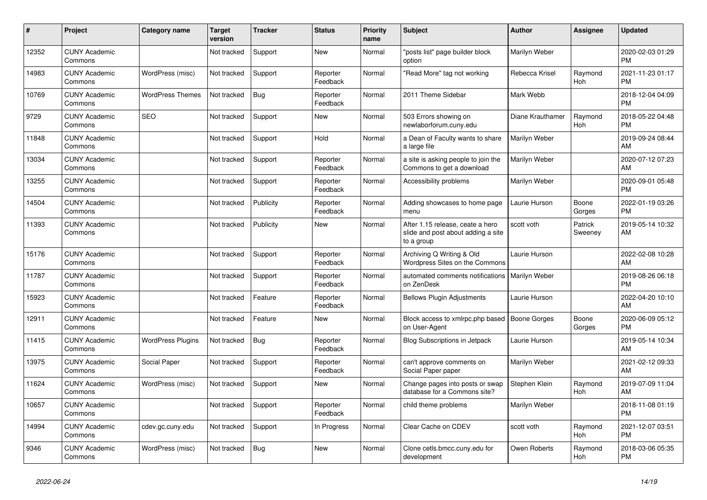| #     | Project                         | Category name            | <b>Target</b><br>version | <b>Tracker</b> | <b>Status</b>        | <b>Priority</b><br>name | <b>Subject</b>                                                                       | <b>Author</b>       | <b>Assignee</b>       | <b>Updated</b>                |
|-------|---------------------------------|--------------------------|--------------------------|----------------|----------------------|-------------------------|--------------------------------------------------------------------------------------|---------------------|-----------------------|-------------------------------|
| 12352 | <b>CUNY Academic</b><br>Commons |                          | Not tracked              | Support        | New                  | Normal                  | 'posts list" page builder block<br>option                                            | Marilyn Weber       |                       | 2020-02-03 01:29<br><b>PM</b> |
| 14983 | <b>CUNY Academic</b><br>Commons | WordPress (misc)         | Not tracked              | Support        | Reporter<br>Feedback | Normal                  | 'Read More" tag not working                                                          | Rebecca Krisel      | Raymond<br>Hoh        | 2021-11-23 01:17<br><b>PM</b> |
| 10769 | <b>CUNY Academic</b><br>Commons | <b>WordPress Themes</b>  | Not tracked              | <b>Bug</b>     | Reporter<br>Feedback | Normal                  | 2011 Theme Sidebar                                                                   | Mark Webb           |                       | 2018-12-04 04:09<br><b>PM</b> |
| 9729  | <b>CUNY Academic</b><br>Commons | <b>SEO</b>               | Not tracked              | Support        | <b>New</b>           | Normal                  | 503 Errors showing on<br>newlaborforum.cuny.edu                                      | Diane Krauthamer    | Raymond<br>Hoh        | 2018-05-22 04:48<br><b>PM</b> |
| 11848 | <b>CUNY Academic</b><br>Commons |                          | Not tracked              | Support        | Hold                 | Normal                  | a Dean of Faculty wants to share<br>a large file                                     | Marilyn Weber       |                       | 2019-09-24 08:44<br>AM        |
| 13034 | <b>CUNY Academic</b><br>Commons |                          | Not tracked              | Support        | Reporter<br>Feedback | Normal                  | a site is asking people to join the<br>Commons to get a download                     | Marilyn Weber       |                       | 2020-07-12 07:23<br>AM        |
| 13255 | <b>CUNY Academic</b><br>Commons |                          | Not tracked              | Support        | Reporter<br>Feedback | Normal                  | Accessibility problems                                                               | Marilyn Weber       |                       | 2020-09-01 05:48<br><b>PM</b> |
| 14504 | <b>CUNY Academic</b><br>Commons |                          | Not tracked              | Publicity      | Reporter<br>Feedback | Normal                  | Adding showcases to home page<br>menu                                                | Laurie Hurson       | Boone<br>Gorges       | 2022-01-19 03:26<br><b>PM</b> |
| 11393 | <b>CUNY Academic</b><br>Commons |                          | Not tracked              | Publicity      | New                  | Normal                  | After 1.15 release, ceate a hero<br>slide and post about adding a site<br>to a group | scott voth          | Patrick<br>Sweeney    | 2019-05-14 10:32<br>AM        |
| 15176 | <b>CUNY Academic</b><br>Commons |                          | Not tracked              | Support        | Reporter<br>Feedback | Normal                  | Archiving Q Writing & Old<br>Wordpress Sites on the Commons                          | Laurie Hurson       |                       | 2022-02-08 10:28<br>AM        |
| 11787 | <b>CUNY Academic</b><br>Commons |                          | Not tracked              | Support        | Reporter<br>Feedback | Normal                  | automated comments notifications   Marilyn Weber<br>on ZenDesk                       |                     |                       | 2019-08-26 06:18<br><b>PM</b> |
| 15923 | <b>CUNY Academic</b><br>Commons |                          | Not tracked              | Feature        | Reporter<br>Feedback | Normal                  | <b>Bellows Plugin Adjustments</b>                                                    | Laurie Hurson       |                       | 2022-04-20 10:10<br>AM        |
| 12911 | <b>CUNY Academic</b><br>Commons |                          | Not tracked              | Feature        | <b>New</b>           | Normal                  | Block access to xmlrpc.php based<br>on User-Agent                                    | <b>Boone Gorges</b> | Boone<br>Gorges       | 2020-06-09 05:12<br><b>PM</b> |
| 11415 | <b>CUNY Academic</b><br>Commons | <b>WordPress Plugins</b> | Not tracked              | Bug            | Reporter<br>Feedback | Normal                  | <b>Blog Subscriptions in Jetpack</b>                                                 | Laurie Hurson       |                       | 2019-05-14 10:34<br>AM        |
| 13975 | <b>CUNY Academic</b><br>Commons | Social Paper             | Not tracked              | Support        | Reporter<br>Feedback | Normal                  | can't approve comments on<br>Social Paper paper                                      | Marilyn Weber       |                       | 2021-02-12 09:33<br>AM        |
| 11624 | <b>CUNY Academic</b><br>Commons | WordPress (misc)         | Not tracked              | Support        | <b>New</b>           | Normal                  | Change pages into posts or swap<br>database for a Commons site?                      | Stephen Klein       | Raymond<br><b>Hoh</b> | 2019-07-09 11:04<br>AM        |
| 10657 | <b>CUNY Academic</b><br>Commons |                          | Not tracked              | Support        | Reporter<br>Feedback | Normal                  | child theme problems                                                                 | Marilyn Weber       |                       | 2018-11-08 01:19<br><b>PM</b> |
| 14994 | <b>CUNY Academic</b><br>Commons | cdev.gc.cuny.edu         | Not tracked              | Support        | In Progress          | Normal                  | Clear Cache on CDEV                                                                  | scott voth          | Raymond<br><b>Hoh</b> | 2021-12-07 03:51<br><b>PM</b> |
| 9346  | <b>CUNY Academic</b><br>Commons | WordPress (misc)         | Not tracked              | <b>Bug</b>     | <b>New</b>           | Normal                  | Clone cetls.bmcc.cuny.edu for<br>development                                         | Owen Roberts        | Raymond<br>Hoh        | 2018-03-06 05:35<br><b>PM</b> |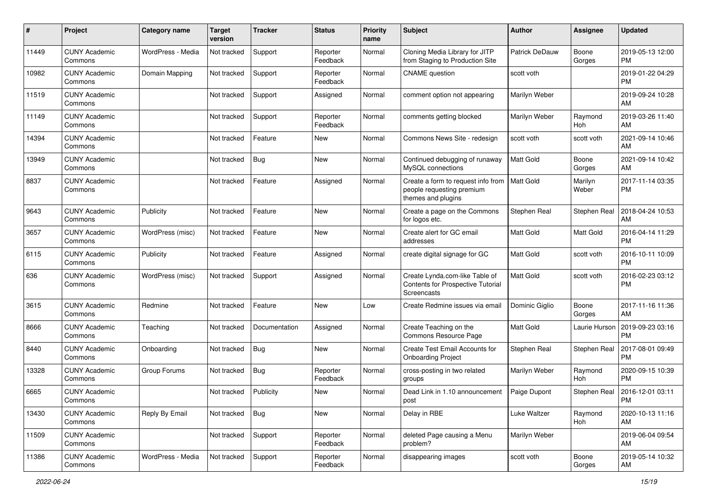| #     | Project                         | <b>Category name</b> | Target<br>version | <b>Tracker</b> | <b>Status</b>        | <b>Priority</b><br>name | <b>Subject</b>                                                                        | <b>Author</b>         | Assignee         | <b>Updated</b>                |
|-------|---------------------------------|----------------------|-------------------|----------------|----------------------|-------------------------|---------------------------------------------------------------------------------------|-----------------------|------------------|-------------------------------|
| 11449 | <b>CUNY Academic</b><br>Commons | WordPress - Media    | Not tracked       | Support        | Reporter<br>Feedback | Normal                  | Cloning Media Library for JITP<br>from Staging to Production Site                     | <b>Patrick DeDauw</b> | Boone<br>Gorges  | 2019-05-13 12:00<br><b>PM</b> |
| 10982 | <b>CUNY Academic</b><br>Commons | Domain Mapping       | Not tracked       | Support        | Reporter<br>Feedback | Normal                  | <b>CNAME</b> question                                                                 | scott voth            |                  | 2019-01-22 04:29<br><b>PM</b> |
| 11519 | <b>CUNY Academic</b><br>Commons |                      | Not tracked       | Support        | Assigned             | Normal                  | comment option not appearing                                                          | Marilyn Weber         |                  | 2019-09-24 10:28<br>AM        |
| 11149 | <b>CUNY Academic</b><br>Commons |                      | Not tracked       | Support        | Reporter<br>Feedback | Normal                  | comments getting blocked                                                              | Marilyn Weber         | Raymond<br>Hoh   | 2019-03-26 11:40<br>AM        |
| 14394 | <b>CUNY Academic</b><br>Commons |                      | Not tracked       | Feature        | New                  | Normal                  | Commons News Site - redesign                                                          | scott voth            | scott voth       | 2021-09-14 10:46<br>AM        |
| 13949 | <b>CUNY Academic</b><br>Commons |                      | Not tracked       | Bug            | New                  | Normal                  | Continued debugging of runaway<br>MySQL connections                                   | Matt Gold             | Boone<br>Gorges  | 2021-09-14 10:42<br>AM        |
| 8837  | <b>CUNY Academic</b><br>Commons |                      | Not tracked       | Feature        | Assigned             | Normal                  | Create a form to request info from<br>people requesting premium<br>themes and plugins | Matt Gold             | Marilyn<br>Weber | 2017-11-14 03:35<br><b>PM</b> |
| 9643  | <b>CUNY Academic</b><br>Commons | Publicity            | Not tracked       | Feature        | <b>New</b>           | Normal                  | Create a page on the Commons<br>for logos etc.                                        | Stephen Real          | Stephen Real     | 2018-04-24 10:53<br>AM        |
| 3657  | <b>CUNY Academic</b><br>Commons | WordPress (misc)     | Not tracked       | Feature        | <b>New</b>           | Normal                  | Create alert for GC email<br>addresses                                                | <b>Matt Gold</b>      | Matt Gold        | 2016-04-14 11:29<br><b>PM</b> |
| 6115  | <b>CUNY Academic</b><br>Commons | Publicity            | Not tracked       | Feature        | Assigned             | Normal                  | create digital signage for GC                                                         | Matt Gold             | scott voth       | 2016-10-11 10:09<br><b>PM</b> |
| 636   | <b>CUNY Academic</b><br>Commons | WordPress (misc)     | Not tracked       | Support        | Assigned             | Normal                  | Create Lynda.com-like Table of<br>Contents for Prospective Tutorial<br>Screencasts    | Matt Gold             | scott voth       | 2016-02-23 03:12<br><b>PM</b> |
| 3615  | <b>CUNY Academic</b><br>Commons | Redmine              | Not tracked       | Feature        | <b>New</b>           | Low                     | Create Redmine issues via email                                                       | Dominic Giglio        | Boone<br>Gorges  | 2017-11-16 11:36<br>AM        |
| 8666  | <b>CUNY Academic</b><br>Commons | Teaching             | Not tracked       | Documentation  | Assigned             | Normal                  | Create Teaching on the<br>Commons Resource Page                                       | Matt Gold             | Laurie Hurson    | 2019-09-23 03:16<br><b>PM</b> |
| 8440  | <b>CUNY Academic</b><br>Commons | Onboarding           | Not tracked       | <b>Bug</b>     | <b>New</b>           | Normal                  | Create Test Email Accounts for<br><b>Onboarding Project</b>                           | Stephen Real          | Stephen Real     | 2017-08-01 09:49<br><b>PM</b> |
| 13328 | <b>CUNY Academic</b><br>Commons | Group Forums         | Not tracked       | Bug            | Reporter<br>Feedback | Normal                  | cross-posting in two related<br>groups                                                | Marilyn Weber         | Raymond<br>Hoh   | 2020-09-15 10:39<br><b>PM</b> |
| 6665  | <b>CUNY Academic</b><br>Commons |                      | Not tracked       | Publicity      | New                  | Normal                  | Dead Link in 1.10 announcement<br>post                                                | Paige Dupont          | Stephen Real     | 2016-12-01 03:11<br>PM        |
| 13430 | <b>CUNY Academic</b><br>Commons | Reply By Email       | Not tracked       | Bug            | New                  | Normal                  | Delay in RBE                                                                          | Luke Waltzer          | Raymond<br>Hoh   | 2020-10-13 11:16<br>AM        |
| 11509 | <b>CUNY Academic</b><br>Commons |                      | Not tracked       | Support        | Reporter<br>Feedback | Normal                  | deleted Page causing a Menu<br>problem?                                               | Marilyn Weber         |                  | 2019-06-04 09:54<br>AM        |
| 11386 | <b>CUNY Academic</b><br>Commons | WordPress - Media    | Not tracked       | Support        | Reporter<br>Feedback | Normal                  | disappearing images                                                                   | scott voth            | Boone<br>Gorges  | 2019-05-14 10:32<br>AM        |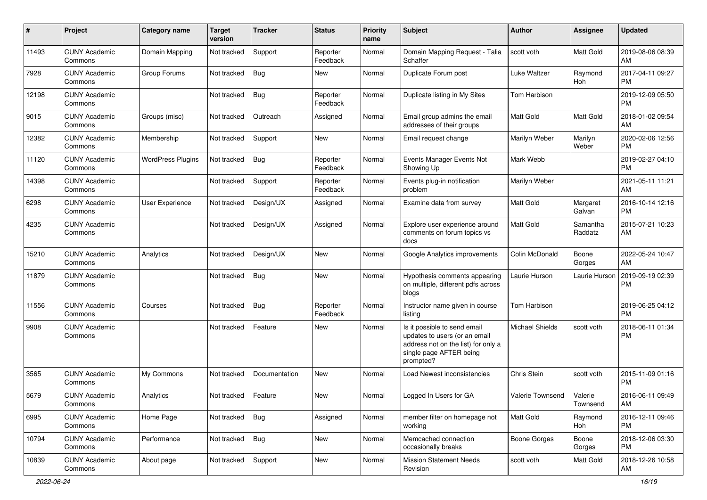| #     | Project                         | <b>Category name</b>     | <b>Target</b><br>version | <b>Tracker</b> | <b>Status</b>        | <b>Priority</b><br>name | Subject                                                                                                                                      | Author                 | <b>Assignee</b>       | <b>Updated</b>                |
|-------|---------------------------------|--------------------------|--------------------------|----------------|----------------------|-------------------------|----------------------------------------------------------------------------------------------------------------------------------------------|------------------------|-----------------------|-------------------------------|
| 11493 | <b>CUNY Academic</b><br>Commons | Domain Mapping           | Not tracked              | Support        | Reporter<br>Feedback | Normal                  | Domain Mapping Request - Talia<br>Schaffer                                                                                                   | scott voth             | Matt Gold             | 2019-08-06 08:39<br>AM        |
| 7928  | <b>CUNY Academic</b><br>Commons | Group Forums             | Not tracked              | Bug            | New                  | Normal                  | Duplicate Forum post                                                                                                                         | Luke Waltzer           | Raymond<br><b>Hoh</b> | 2017-04-11 09:27<br>PМ        |
| 12198 | <b>CUNY Academic</b><br>Commons |                          | Not tracked              | <b>Bug</b>     | Reporter<br>Feedback | Normal                  | Duplicate listing in My Sites                                                                                                                | Tom Harbison           |                       | 2019-12-09 05:50<br>РM        |
| 9015  | <b>CUNY Academic</b><br>Commons | Groups (misc)            | Not tracked              | Outreach       | Assigned             | Normal                  | Email group admins the email<br>addresses of their groups                                                                                    | Matt Gold              | <b>Matt Gold</b>      | 2018-01-02 09:54<br>AM        |
| 12382 | <b>CUNY Academic</b><br>Commons | Membership               | Not tracked              | Support        | New                  | Normal                  | Email request change                                                                                                                         | Marilyn Weber          | Marilyn<br>Weber      | 2020-02-06 12:56<br><b>PM</b> |
| 11120 | <b>CUNY Academic</b><br>Commons | <b>WordPress Plugins</b> | Not tracked              | <b>Bug</b>     | Reporter<br>Feedback | Normal                  | Events Manager Events Not<br>Showing Up                                                                                                      | Mark Webb              |                       | 2019-02-27 04:10<br>РM        |
| 14398 | <b>CUNY Academic</b><br>Commons |                          | Not tracked              | Support        | Reporter<br>Feedback | Normal                  | Events plug-in notification<br>problem                                                                                                       | Marilyn Weber          |                       | 2021-05-11 11:21<br>AM        |
| 6298  | <b>CUNY Academic</b><br>Commons | <b>User Experience</b>   | Not tracked              | Design/UX      | Assigned             | Normal                  | Examine data from survey                                                                                                                     | Matt Gold              | Margaret<br>Galvan    | 2016-10-14 12:16<br>PM        |
| 4235  | <b>CUNY Academic</b><br>Commons |                          | Not tracked              | Design/UX      | Assigned             | Normal                  | Explore user experience around<br>comments on forum topics vs<br>docs                                                                        | Matt Gold              | Samantha<br>Raddatz   | 2015-07-21 10:23<br>AM        |
| 15210 | <b>CUNY Academic</b><br>Commons | Analytics                | Not tracked              | Design/UX      | <b>New</b>           | Normal                  | Google Analytics improvements                                                                                                                | Colin McDonald         | Boone<br>Gorges       | 2022-05-24 10:47<br>AM        |
| 11879 | <b>CUNY Academic</b><br>Commons |                          | Not tracked              | <b>Bug</b>     | New                  | Normal                  | Hypothesis comments appearing<br>on multiple, different pdfs across<br>blogs                                                                 | Laurie Hurson          | Laurie Hurson         | 2019-09-19 02:39<br>РM        |
| 11556 | <b>CUNY Academic</b><br>Commons | Courses                  | Not tracked              | Bug            | Reporter<br>Feedback | Normal                  | Instructor name given in course<br>listing                                                                                                   | Tom Harbison           |                       | 2019-06-25 04:12<br><b>PM</b> |
| 9908  | <b>CUNY Academic</b><br>Commons |                          | Not tracked              | Feature        | New                  | Normal                  | Is it possible to send email<br>updates to users (or an email<br>address not on the list) for only a<br>single page AFTER being<br>prompted? | <b>Michael Shields</b> | scott voth            | 2018-06-11 01:34<br><b>PM</b> |
| 3565  | <b>CUNY Academic</b><br>Commons | My Commons               | Not tracked              | Documentation  | <b>New</b>           | Normal                  | Load Newest inconsistencies                                                                                                                  | Chris Stein            | scott voth            | 2015-11-09 01:16<br>РM        |
| 5679  | <b>CUNY Academic</b><br>Commons | Analytics                | Not tracked              | Feature        | New                  | Normal                  | Logged In Users for GA                                                                                                                       | Valerie Townsend       | Valerie<br>Townsend   | 2016-06-11 09:49<br>AM        |
| 6995  | <b>CUNY Academic</b><br>Commons | Home Page                | Not tracked              | Bug            | Assigned             | Normal                  | member filter on homepage not<br>working                                                                                                     | Matt Gold              | Raymond<br>Hoh        | 2016-12-11 09:46<br><b>PM</b> |
| 10794 | <b>CUNY Academic</b><br>Commons | Performance              | Not tracked              | Bug            | New                  | Normal                  | Memcached connection<br>occasionally breaks                                                                                                  | Boone Gorges           | Boone<br>Gorges       | 2018-12-06 03:30<br>PM        |
| 10839 | <b>CUNY Academic</b><br>Commons | About page               | Not tracked              | Support        | New                  | Normal                  | <b>Mission Statement Needs</b><br>Revision                                                                                                   | scott voth             | Matt Gold             | 2018-12-26 10:58<br>AM        |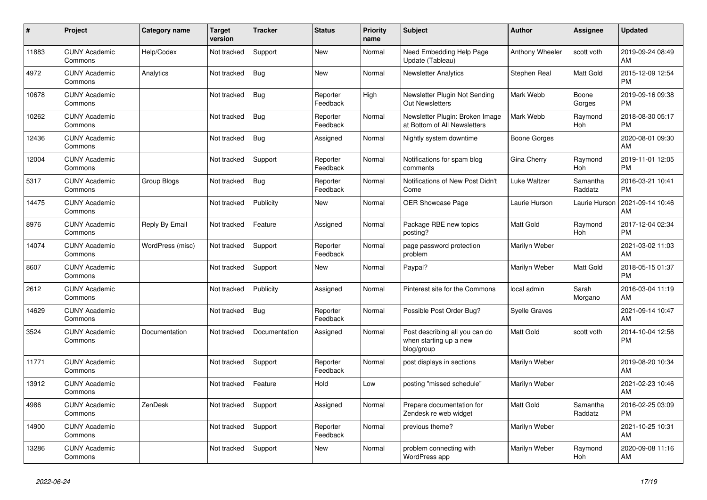| #     | Project                         | <b>Category name</b> | <b>Target</b><br>version | <b>Tracker</b> | <b>Status</b>        | Priority<br>name | <b>Subject</b>                                                         | <b>Author</b>       | <b>Assignee</b>       | <b>Updated</b>                |
|-------|---------------------------------|----------------------|--------------------------|----------------|----------------------|------------------|------------------------------------------------------------------------|---------------------|-----------------------|-------------------------------|
| 11883 | <b>CUNY Academic</b><br>Commons | Help/Codex           | Not tracked              | Support        | <b>New</b>           | Normal           | Need Embedding Help Page<br>Update (Tableau)                           | Anthony Wheeler     | scott voth            | 2019-09-24 08:49<br>AM        |
| 4972  | <b>CUNY Academic</b><br>Commons | Analytics            | Not tracked              | Bug            | <b>New</b>           | Normal           | <b>Newsletter Analytics</b>                                            | Stephen Real        | Matt Gold             | 2015-12-09 12:54<br><b>PM</b> |
| 10678 | <b>CUNY Academic</b><br>Commons |                      | Not tracked              | <b>Bug</b>     | Reporter<br>Feedback | High             | Newsletter Plugin Not Sending<br><b>Out Newsletters</b>                | Mark Webb           | Boone<br>Gorges       | 2019-09-16 09:38<br><b>PM</b> |
| 10262 | <b>CUNY Academic</b><br>Commons |                      | Not tracked              | <b>Bug</b>     | Reporter<br>Feedback | Normal           | Newsletter Plugin: Broken Image<br>at Bottom of All Newsletters        | Mark Webb           | Raymond<br><b>Hoh</b> | 2018-08-30 05:17<br><b>PM</b> |
| 12436 | <b>CUNY Academic</b><br>Commons |                      | Not tracked              | Bug            | Assigned             | Normal           | Nightly system downtime                                                | <b>Boone Gorges</b> |                       | 2020-08-01 09:30<br>AM        |
| 12004 | <b>CUNY Academic</b><br>Commons |                      | Not tracked              | Support        | Reporter<br>Feedback | Normal           | Notifications for spam blog<br>comments                                | Gina Cherry         | Raymond<br><b>Hoh</b> | 2019-11-01 12:05<br><b>PM</b> |
| 5317  | <b>CUNY Academic</b><br>Commons | <b>Group Blogs</b>   | Not tracked              | <b>Bug</b>     | Reporter<br>Feedback | Normal           | Notifications of New Post Didn't<br>Come                               | <b>Luke Waltzer</b> | Samantha<br>Raddatz   | 2016-03-21 10:41<br><b>PM</b> |
| 14475 | <b>CUNY Academic</b><br>Commons |                      | Not tracked              | Publicity      | <b>New</b>           | Normal           | <b>OER Showcase Page</b>                                               | Laurie Hurson       | Laurie Hurson         | 2021-09-14 10:46<br>AM        |
| 8976  | <b>CUNY Academic</b><br>Commons | Reply By Email       | Not tracked              | Feature        | Assigned             | Normal           | Package RBE new topics<br>posting?                                     | <b>Matt Gold</b>    | Raymond<br>Hoh        | 2017-12-04 02:34<br><b>PM</b> |
| 14074 | <b>CUNY Academic</b><br>Commons | WordPress (misc)     | Not tracked              | Support        | Reporter<br>Feedback | Normal           | page password protection<br>problem                                    | Marilyn Weber       |                       | 2021-03-02 11:03<br>AM        |
| 8607  | <b>CUNY Academic</b><br>Commons |                      | Not tracked              | Support        | <b>New</b>           | Normal           | Paypal?                                                                | Marilyn Weber       | <b>Matt Gold</b>      | 2018-05-15 01:37<br><b>PM</b> |
| 2612  | <b>CUNY Academic</b><br>Commons |                      | Not tracked              | Publicity      | Assigned             | Normal           | Pinterest site for the Commons                                         | local admin         | Sarah<br>Morgano      | 2016-03-04 11:19<br>AM        |
| 14629 | <b>CUNY Academic</b><br>Commons |                      | Not tracked              | Bug            | Reporter<br>Feedback | Normal           | Possible Post Order Bug?                                               | Syelle Graves       |                       | 2021-09-14 10:47<br>AM        |
| 3524  | <b>CUNY Academic</b><br>Commons | Documentation        | Not tracked              | Documentation  | Assigned             | Normal           | Post describing all you can do<br>when starting up a new<br>blog/group | Matt Gold           | scott voth            | 2014-10-04 12:56<br><b>PM</b> |
| 11771 | <b>CUNY Academic</b><br>Commons |                      | Not tracked              | Support        | Reporter<br>Feedback | Normal           | post displays in sections                                              | Marilyn Weber       |                       | 2019-08-20 10:34<br>AM        |
| 13912 | <b>CUNY Academic</b><br>Commons |                      | Not tracked              | Feature        | Hold                 | Low              | posting "missed schedule"                                              | Marilyn Weber       |                       | 2021-02-23 10:46<br>AM        |
| 4986  | <b>CUNY Academic</b><br>Commons | ZenDesk              | Not tracked              | Support        | Assigned             | Normal           | Prepare documentation for<br>Zendesk re web widget                     | Matt Gold           | Samantha<br>Raddatz   | 2016-02-25 03:09<br><b>PM</b> |
| 14900 | <b>CUNY Academic</b><br>Commons |                      | Not tracked              | Support        | Reporter<br>Feedback | Normal           | previous theme?                                                        | Marilyn Weber       |                       | 2021-10-25 10:31<br>AM        |
| 13286 | <b>CUNY Academic</b><br>Commons |                      | Not tracked              | Support        | <b>New</b>           | Normal           | problem connecting with<br>WordPress app                               | Marilyn Weber       | Raymond<br>Hoh        | 2020-09-08 11:16<br>AM        |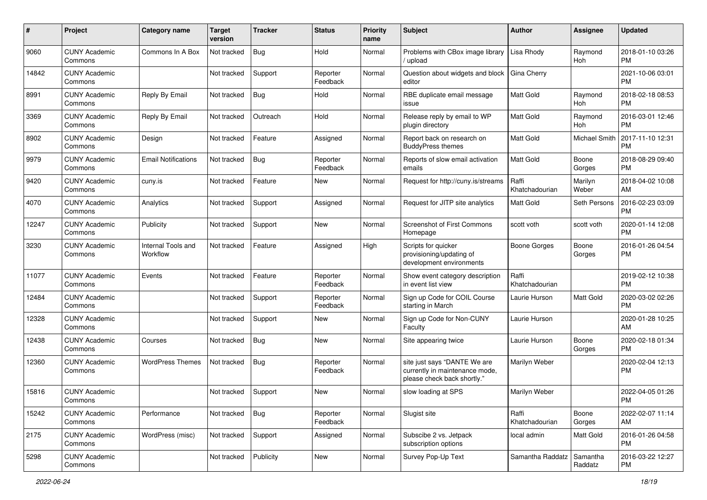| #     | Project                         | <b>Category name</b>           | <b>Target</b><br>version | <b>Tracker</b> | <b>Status</b>        | <b>Priority</b><br>name | Subject                                                                                       | Author                  | <b>Assignee</b>      | <b>Updated</b>                |
|-------|---------------------------------|--------------------------------|--------------------------|----------------|----------------------|-------------------------|-----------------------------------------------------------------------------------------------|-------------------------|----------------------|-------------------------------|
| 9060  | <b>CUNY Academic</b><br>Commons | Commons In A Box               | Not tracked              | <b>Bug</b>     | Hold                 | Normal                  | Problems with CBox image library<br>upload                                                    | Lisa Rhody              | Raymond<br>Hoh       | 2018-01-10 03:26<br><b>PM</b> |
| 14842 | <b>CUNY Academic</b><br>Commons |                                | Not tracked              | Support        | Reporter<br>Feedback | Normal                  | Question about widgets and block<br>editor                                                    | Gina Cherry             |                      | 2021-10-06 03:01<br><b>PM</b> |
| 8991  | <b>CUNY Academic</b><br>Commons | Reply By Email                 | Not tracked              | <b>Bug</b>     | Hold                 | Normal                  | RBE duplicate email message<br>issue                                                          | Matt Gold               | Raymond<br>Hoh       | 2018-02-18 08:53<br><b>PM</b> |
| 3369  | <b>CUNY Academic</b><br>Commons | Reply By Email                 | Not tracked              | Outreach       | Hold                 | Normal                  | Release reply by email to WP<br>plugin directory                                              | Matt Gold               | Raymond<br>Hoh       | 2016-03-01 12:46<br><b>PM</b> |
| 8902  | <b>CUNY Academic</b><br>Commons | Design                         | Not tracked              | Feature        | Assigned             | Normal                  | Report back on research on<br><b>BuddyPress themes</b>                                        | <b>Matt Gold</b>        | <b>Michael Smith</b> | 2017-11-10 12:31<br>PM        |
| 9979  | <b>CUNY Academic</b><br>Commons | <b>Email Notifications</b>     | Not tracked              | <b>Bug</b>     | Reporter<br>Feedback | Normal                  | Reports of slow email activation<br>emails                                                    | <b>Matt Gold</b>        | Boone<br>Gorges      | 2018-08-29 09:40<br><b>PM</b> |
| 9420  | <b>CUNY Academic</b><br>Commons | cuny.is                        | Not tracked              | Feature        | New                  | Normal                  | Request for http://cuny.is/streams                                                            | Raffi<br>Khatchadourian | Marilyn<br>Weber     | 2018-04-02 10:08<br>AM        |
| 4070  | <b>CUNY Academic</b><br>Commons | Analytics                      | Not tracked              | Support        | Assigned             | Normal                  | Request for JITP site analytics                                                               | Matt Gold               | Seth Persons         | 2016-02-23 03:09<br><b>PM</b> |
| 12247 | <b>CUNY Academic</b><br>Commons | Publicity                      | Not tracked              | Support        | New                  | Normal                  | <b>Screenshot of First Commons</b><br>Homepage                                                | scott voth              | scott voth           | 2020-01-14 12:08<br><b>PM</b> |
| 3230  | <b>CUNY Academic</b><br>Commons | Internal Tools and<br>Workflow | Not tracked              | Feature        | Assigned             | High                    | Scripts for quicker<br>provisioning/updating of<br>development environments                   | Boone Gorges            | Boone<br>Gorges      | 2016-01-26 04:54<br><b>PM</b> |
| 11077 | <b>CUNY Academic</b><br>Commons | Events                         | Not tracked              | Feature        | Reporter<br>Feedback | Normal                  | Show event category description<br>in event list view                                         | Raffi<br>Khatchadourian |                      | 2019-02-12 10:38<br><b>PM</b> |
| 12484 | <b>CUNY Academic</b><br>Commons |                                | Not tracked              | Support        | Reporter<br>Feedback | Normal                  | Sign up Code for COIL Course<br>starting in March                                             | Laurie Hurson           | Matt Gold            | 2020-03-02 02:26<br><b>PM</b> |
| 12328 | <b>CUNY Academic</b><br>Commons |                                | Not tracked              | Support        | New                  | Normal                  | Sign up Code for Non-CUNY<br>Faculty                                                          | Laurie Hurson           |                      | 2020-01-28 10:25<br>AM        |
| 12438 | <b>CUNY Academic</b><br>Commons | Courses                        | Not tracked              | <b>Bug</b>     | New                  | Normal                  | Site appearing twice                                                                          | Laurie Hurson           | Boone<br>Gorges      | 2020-02-18 01:34<br><b>PM</b> |
| 12360 | <b>CUNY Academic</b><br>Commons | <b>WordPress Themes</b>        | Not tracked              | <b>Bug</b>     | Reporter<br>Feedback | Normal                  | site just says "DANTE We are<br>currently in maintenance mode,<br>please check back shortly." | Marilyn Weber           |                      | 2020-02-04 12:13<br><b>PM</b> |
| 15816 | <b>CUNY Academic</b><br>Commons |                                | Not tracked              | Support        | New                  | Normal                  | slow loading at SPS                                                                           | Marilyn Weber           |                      | 2022-04-05 01:26<br>PM        |
| 15242 | <b>CUNY Academic</b><br>Commons | Performance                    | Not tracked              | Bug            | Reporter<br>Feedback | Normal                  | Slugist site                                                                                  | Raffi<br>Khatchadourian | Boone<br>Gorges      | 2022-02-07 11:14<br>AM        |
| 2175  | <b>CUNY Academic</b><br>Commons | WordPress (misc)               | Not tracked              | Support        | Assigned             | Normal                  | Subscibe 2 vs. Jetpack<br>subscription options                                                | local admin             | Matt Gold            | 2016-01-26 04:58<br>PM        |
| 5298  | <b>CUNY Academic</b><br>Commons |                                | Not tracked              | Publicity      | New                  | Normal                  | Survey Pop-Up Text                                                                            | Samantha Raddatz        | Samantha<br>Raddatz  | 2016-03-22 12:27<br><b>PM</b> |